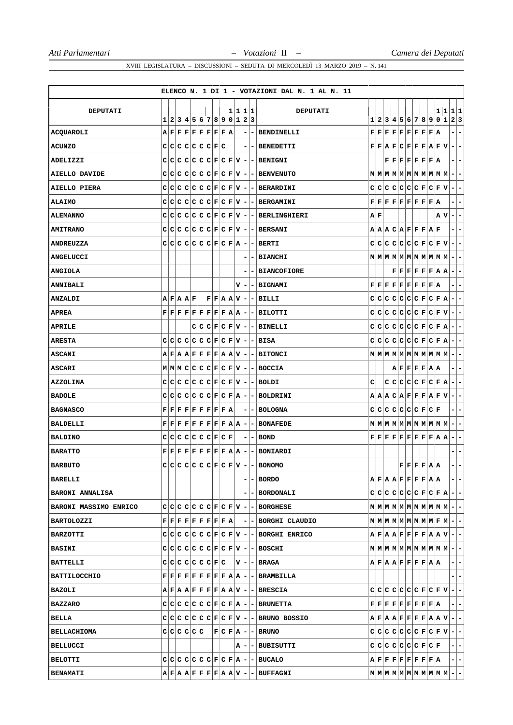|                        |    |   |                     |  |                                                                                                                                                                                                   |  |         |                              |                          | ELENCO N. 1 DI 1 - VOTAZIONI DAL N. 1 AL N. 11                                                                                                                                                                                                                              |    |     |  |                                                                                                                                                                                                                            |  |         |                          |                                 |
|------------------------|----|---|---------------------|--|---------------------------------------------------------------------------------------------------------------------------------------------------------------------------------------------------|--|---------|------------------------------|--------------------------|-----------------------------------------------------------------------------------------------------------------------------------------------------------------------------------------------------------------------------------------------------------------------------|----|-----|--|----------------------------------------------------------------------------------------------------------------------------------------------------------------------------------------------------------------------------|--|---------|--------------------------|---------------------------------|
|                        |    |   |                     |  |                                                                                                                                                                                                   |  |         |                              |                          |                                                                                                                                                                                                                                                                             |    |     |  |                                                                                                                                                                                                                            |  |         |                          |                                 |
| <b>DEPUTATI</b>        |    |   |                     |  | 1 2 3 4 5 6 7 8 9 0 1 2 3                                                                                                                                                                         |  | 1 1 1 1 |                              |                          | <b>DEPUTATI</b>                                                                                                                                                                                                                                                             |    |     |  | 1 2 3 4 5 6 7 8 9 0 1 2 3                                                                                                                                                                                                  |  | 1 1 1 1 |                          |                                 |
| ACQUAROLI              |    |   |                     |  | $A F F F F F F F F A$                                                                                                                                                                             |  |         | $\qquad \qquad \blacksquare$ | ۰                        | <b>BENDINELLI</b>                                                                                                                                                                                                                                                           |    |     |  | $\mathbf{F} \,   \, \mathbf{F} \,   \, \mathbf{F} \,   \, \mathbf{F} \,   \, \mathbf{F} \,   \, \mathbf{F} \,   \, \mathbf{F} \,   \, \mathbf{F} \,   \, \mathbf{A}$                                                       |  |         | -                        | $\overline{\phantom{0}}$        |
| <b>ACUNZO</b>          |    |   |                     |  | C C C C C C C F C                                                                                                                                                                                 |  |         | -                            | $\blacksquare$           | <b>BENEDETTI</b>                                                                                                                                                                                                                                                            |    |     |  | $\mathbf{F} \mathbf{F} \mathbf{A} \mathbf{F} \mathbf{C} \mathbf{F} \mathbf{F} \mathbf{F} \mathbf{A} \mathbf{F} \mathbf{V}$                                                                                                 |  |         | $\blacksquare$           | ۰                               |
| ADELIZZI               |    |   |                     |  |                                                                                                                                                                                                   |  |         |                              |                          | $C C C C C C F C F V - F ENIGNI$                                                                                                                                                                                                                                            |    |     |  | ${\bf F} \,   \, {\bf F} \,   \, {\bf F} \,   \, {\bf F} \,   \, {\bf F} \,   \, {\bf F} \,   \, {\bf F} \,   \, {\bf A}$                                                                                                  |  |         | - 1                      | $\overline{\phantom{a}}$        |
| <b>AIELLO DAVIDE</b>   | c  |   |                     |  | $C[C[C]C[C]F[C]F[V] -$                                                                                                                                                                            |  |         |                              |                          | <b>- BENVENUTO</b>                                                                                                                                                                                                                                                          |    |     |  |                                                                                                                                                                                                                            |  |         |                          | -                               |
| AIELLO PIERA           |    |   |                     |  | $C C C C C C F C F V -$                                                                                                                                                                           |  |         |                              |                          | - BERARDINI                                                                                                                                                                                                                                                                 |    |     |  | $C C C C C C F C F V$                                                                                                                                                                                                      |  |         | $\overline{\phantom{a}}$ | ۰                               |
| <b>ALAIMO</b>          |    |   |                     |  | $C C C C C C F C F V -$                                                                                                                                                                           |  |         |                              |                          | - BERGAMINI                                                                                                                                                                                                                                                                 |    |     |  | $\mathbf{F} \,   \, \mathbf{F} \,   \, \mathbf{F} \,   \, \mathbf{F} \,   \, \mathbf{F} \,   \, \mathbf{F} \,   \, \mathbf{F} \,   \, \mathbf{F} \,   \, \mathbf{A}$                                                       |  |         | $\blacksquare$           | $\overline{\phantom{a}}$        |
| <b>ALEMANNO</b>        | c  |   |                     |  | $C[C[C]C[C]F[C]F[V] -$                                                                                                                                                                            |  |         |                              |                          | - BERLINGHIERI                                                                                                                                                                                                                                                              | AF |     |  |                                                                                                                                                                                                                            |  | A V     | $\blacksquare$           | -                               |
| <b>AMITRANO</b>        |    |   |                     |  | $C C C C C C F C F V -$                                                                                                                                                                           |  |         |                              |                          | <b>- BERSANI</b>                                                                                                                                                                                                                                                            |    |     |  | A A C A F F F A F                                                                                                                                                                                                          |  |         | ۰.                       | -                               |
| ANDREUZZA              | C. |   |                     |  | C C C C C F C F A                                                                                                                                                                                 |  |         | $\overline{\phantom{a}}$     |                          | - BERTI                                                                                                                                                                                                                                                                     |    |     |  | $C C C C C C F C F V $                                                                                                                                                                                                     |  |         | $\overline{a}$           | $\overline{\phantom{a}}$        |
| <b>ANGELUCCI</b>       |    |   |                     |  |                                                                                                                                                                                                   |  |         |                              | -                        | <b>BIANCHI</b>                                                                                                                                                                                                                                                              |    |     |  |                                                                                                                                                                                                                            |  |         |                          |                                 |
| <b>ANGIOLA</b>         |    |   |                     |  |                                                                                                                                                                                                   |  |         |                              |                          | <b>- BIANCOFIORE</b>                                                                                                                                                                                                                                                        |    |     |  | $\mathbf{F} \,   \, \mathbf{F} \,   \, \mathbf{F} \,   \, \mathbf{F} \,   \, \mathbf{F} \,   \, \mathbf{A} \,   \, \mathbf{A}$                                                                                             |  |         | $\blacksquare$           | $\overline{\phantom{a}}$        |
| <b>ANNIBALI</b>        |    |   |                     |  |                                                                                                                                                                                                   |  |         | v –                          |                          | <b>- BIGNAMI</b>                                                                                                                                                                                                                                                            |    |     |  | $\mathbf{F} \,   \, \mathbf{F} \,   \, \mathbf{F} \,   \, \mathbf{F} \,   \, \mathbf{F} \,   \, \mathbf{F} \,   \, \mathbf{F} \,   \, \mathbf{F} \,   \, \mathbf{A}$                                                       |  |         |                          | -                               |
| <b>ANZALDI</b>         |    |   | $A$ $F$ $A$ $A$ $F$ |  |                                                                                                                                                                                                   |  |         |                              |                          | $ F F A A V - - BILLI $                                                                                                                                                                                                                                                     |    |     |  | $C C C C C C F C F A$                                                                                                                                                                                                      |  |         |                          | $-1-$                           |
| <b>APREA</b>           |    |   |                     |  |                                                                                                                                                                                                   |  |         |                              |                          | $\mathbf{F} \,   \, \mathbf{F} \,   \, \mathbf{F} \,   \, \mathbf{F} \,   \, \mathbf{F} \,   \, \mathbf{F} \,   \, \mathbf{F} \,   \, \mathbf{F} \,   \, \mathbf{A} \,   \, {\bf A} \,   -   -   \, \mathbf{B}\mathbf{I}\mathbf{L}\mathbf{O}\mathbf{T}\mathbf{T}\mathbf{I}$ |    | C C |  | C C C C F C F V                                                                                                                                                                                                            |  |         | $\overline{a}$           | $\overline{\phantom{a}}$        |
| <b>APRILE</b>          |    |   |                     |  | $C C C F C F V -$                                                                                                                                                                                 |  |         |                              |                          | - BINELLI                                                                                                                                                                                                                                                                   |    |     |  | $C C C C C C F C F R$                                                                                                                                                                                                      |  |         | $\overline{\phantom{a}}$ | -                               |
| <b>ARESTA</b>          |    |   |                     |  | $C C C C C C F C F V -$                                                                                                                                                                           |  |         |                              |                          | $ BISA$                                                                                                                                                                                                                                                                     |    |     |  | $C C C C C C F C F R$                                                                                                                                                                                                      |  |         |                          | $-1-$                           |
| <b>ASCANI</b>          |    |   |                     |  | $A \,   \, \mathbf{F} \,   \, A \,   \, \mathbf{F} \,   \, \mathbf{F} \,   \, \mathbf{F} \,   \, \mathbf{F} \,   \, \mathbf{F} \,   \, A \,   \, \mathbf{N} \,   \, -$                            |  |         |                              |                          | <b>- BITONCI</b>                                                                                                                                                                                                                                                            |    |     |  |                                                                                                                                                                                                                            |  |         | ÷.                       | -                               |
| <b>ASCARI</b>          |    |   |                     |  | M M C C C C F C F V                                                                                                                                                                               |  |         |                              |                          | - BOCCIA                                                                                                                                                                                                                                                                    |    |     |  | $A$ $F$ $F$ $F$ $R$ $A$ $A$                                                                                                                                                                                                |  |         | ۰.                       | ۰                               |
| AZZOLINA               |    |   |                     |  | $C C C C C C F C F V -$                                                                                                                                                                           |  |         |                              |                          | - I BOLDI                                                                                                                                                                                                                                                                   | с  |     |  | $C C C C F C F A$                                                                                                                                                                                                          |  |         |                          | $-1-$                           |
| <b>BADOLE</b>          | c  | c |                     |  | $ C C C C F C F A -$                                                                                                                                                                              |  |         |                              | ۰                        | BOLDRINI                                                                                                                                                                                                                                                                    |    |     |  | A A C A F F F A F V                                                                                                                                                                                                        |  |         | $\overline{\phantom{a}}$ | ۳                               |
| <b>BAGNASCO</b>        |    |   |                     |  | $\mathbf{F} \,   \, \mathbf{F} \,   \, \mathbf{F} \,   \, \mathbf{F} \,   \, \mathbf{F} \,   \, \mathbf{F} \,   \, \mathbf{F} \,   \, \mathbf{F} \,   \, \mathbf{R} \,$                           |  |         | ۰                            |                          | - BOLOGNA                                                                                                                                                                                                                                                                   |    |     |  | $C C C C C C F C F$                                                                                                                                                                                                        |  |         | ۰.                       | ۰                               |
| BALDELLI               |    |   |                     |  | $\mathbf{F} \,   \, \mathbf{F} \,   \, \mathbf{F} \,   \, \mathbf{F} \,   \, \mathbf{F} \,   \, \mathbf{F} \,   \, \mathbf{F} \,   \, \mathbf{F} \,   \, \mathbf{A} \,   \, \mathbf{A} \,   \, -$ |  |         |                              |                          | <b>- BONAFEDE</b>                                                                                                                                                                                                                                                           |    |     |  |                                                                                                                                                                                                                            |  |         |                          | $-1-$                           |
| <b>BALDINO</b>         | c  | c |                     |  | $ {\mathbf C} {\mathbf C} {\mathbf C} {\mathbf C} {\mathbf F} {\mathbf C} {\mathbf F}$                                                                                                            |  |         | ۰                            | $\blacksquare$           | <b>BOND</b>                                                                                                                                                                                                                                                                 |    |     |  | $\mathbf{F} \,   \, \mathbf{F} \,   \, \mathbf{F} \,   \, \mathbf{F} \,   \, \mathbf{F} \,   \, \mathbf{F} \,   \, \mathbf{F} \,   \, \mathbf{F} \,   \, \mathbf{A} \,   \, \mathbf{A}$                                    |  |         | $\overline{\phantom{a}}$ | -                               |
| <b>BARATTO</b>         |    |   |                     |  |                                                                                                                                                                                                   |  |         |                              |                          | $\mathbf{F} \,   \, \mathbf{F} \,   \, \mathbf{F} \,   \, \mathbf{F} \,   \, \mathbf{F} \,   \, \mathbf{F} \,   \, \mathbf{F} \,   \, \mathbf{A} \,   \, \mathbf{A} \,   -   -  $ BONIARDI                                                                                  |    |     |  |                                                                                                                                                                                                                            |  |         |                          | -                               |
| <b>BARBUTO</b>         |    |   |                     |  |                                                                                                                                                                                                   |  |         |                              |                          | $c c c c c c F c F V - F $ BONOMO                                                                                                                                                                                                                                           |    |     |  | $\mathbf{F} \mathbf{F} \mathbf{F} \mathbf{F} \mathbf{A} \mathbf{A}$                                                                                                                                                        |  |         |                          | - 1<br>$\overline{\phantom{a}}$ |
| <b>BARELLI</b>         |    |   |                     |  |                                                                                                                                                                                                   |  |         |                              | $\overline{\phantom{a}}$ | BORDO                                                                                                                                                                                                                                                                       |    |     |  | $A$ $F$ $A$ $R$ $F$ $F$ $F$ $F$ $A$ $A$                                                                                                                                                                                    |  |         |                          | $ -$                            |
| <b>BARONI ANNALISA</b> |    |   |                     |  |                                                                                                                                                                                                   |  |         | -                            |                          | <b>- BORDONALI</b>                                                                                                                                                                                                                                                          |    |     |  | $C C C C C C F C F A - -$                                                                                                                                                                                                  |  |         |                          |                                 |
| BARONI MASSIMO ENRICO  |    |   |                     |  |                                                                                                                                                                                                   |  |         |                              |                          | $C C C C C C F C F V - F D C HESE$                                                                                                                                                                                                                                          |    |     |  | $\mathbf{M} \left  \mathbf{M} \right  \mathbf{M} \left  \mathbf{M} \right  \mathbf{M} \left  \mathbf{M} \right  \mathbf{M} \left  \mathbf{M} \right  \mathbf{M} \left  \mathbf{M} \right  - \left  - \right $              |  |         |                          |                                 |
| <b>BARTOLOZZI</b>      |    |   |                     |  | $\mathbf{F} \,   \, \mathbf{F} \,   \, \mathbf{F} \,   \, \mathbf{F} \,   \, \mathbf{F} \,   \, \mathbf{F} \,   \, \mathbf{F} \,   \, \mathbf{F} \,   \, \mathbf{A} \,   \,$                      |  |         |                              |                          | $ - $ - BORGHI CLAUDIO                                                                                                                                                                                                                                                      |    |     |  | $\texttt{M} \texttt{M} \texttt{M} \texttt{M} \texttt{M} \texttt{M} \texttt{M} \texttt{M} \texttt{F} \texttt{M} - -$                                                                                                        |  |         |                          |                                 |
| BARZOTTI               |    |   |                     |  |                                                                                                                                                                                                   |  |         |                              |                          | $C C C C C C F C F V - F DRGHI$ ENRICO                                                                                                                                                                                                                                      |    |     |  | $A \,   \, \mathbf{F} \,   \, \mathbf{A} \,   \, \mathbf{A} \,   \, \mathbf{F} \,   \, \mathbf{F} \,   \, \mathbf{F} \,   \, \mathbf{F} \,   \, \mathbf{A} \,   \, \mathbf{A} \,   \, \mathbf{V} \,   \, - \,   \, - \,  $ |  |         |                          |                                 |
| <b>BASINI</b>          |    |   |                     |  |                                                                                                                                                                                                   |  |         |                              |                          | $C C C C C C F C F V -$ BOSCHI                                                                                                                                                                                                                                              |    |     |  |                                                                                                                                                                                                                            |  |         |                          |                                 |
| <b>BATTELLI</b>        |    |   |                     |  |                                                                                                                                                                                                   |  |         |                              |                          | $C C C C C C F C $   $V - - BRAGA $                                                                                                                                                                                                                                         |    |     |  | $A$ $F$ $A$ $A$ $F$ $F$ $F$ $F$ $A$ $A$                                                                                                                                                                                    |  |         |                          | $ -$                            |
| BATTILOCCHIO           |    |   |                     |  |                                                                                                                                                                                                   |  |         |                              |                          | $F F F F F F F F A A - - BRAMBILLA $                                                                                                                                                                                                                                        |    |     |  |                                                                                                                                                                                                                            |  |         |                          | -1-                             |
| BAZOLI                 |    |   |                     |  |                                                                                                                                                                                                   |  |         |                              |                          | $A F A A F F F F A A V - F BESCIA$                                                                                                                                                                                                                                          |    |     |  | $ C C C C C C F C F V -$                                                                                                                                                                                                   |  |         |                          |                                 |
| <b>BAZZARO</b>         |    |   |                     |  |                                                                                                                                                                                                   |  |         |                              |                          | $C C C C C C F C F A - - BRUNETTA $                                                                                                                                                                                                                                         |    |     |  | $\mathbf{F} \,   \, \mathbf{F} \,   \, \mathbf{F} \,   \, \mathbf{F} \,   \, \mathbf{F} \,   \, \mathbf{F} \,   \, \mathbf{F} \,   \, \mathbf{F} \,   \, \mathbf{F} \,   \, \mathbf{A} \,  $                               |  |         |                          | $ -$                            |
| BELLA                  |    |   |                     |  |                                                                                                                                                                                                   |  |         |                              |                          | $C C C C C C F C F V - F UNO$ BOSSIO                                                                                                                                                                                                                                        |    |     |  | $A \,   \, \mathbf{F} \,   \, \mathbf{A} \,   \, \mathbf{A} \,   \, \mathbf{F} \,   \, \mathbf{F} \,   \, \mathbf{F} \,   \, \mathbf{F} \,   \, \mathbf{A} \,   \, \mathbf{A} \,   \, \mathbf{V} \,   \, - \,   \, - \,  $ |  |         |                          |                                 |
| <b>BELLACHIOMA</b>     |    |   | c c c c c c         |  |                                                                                                                                                                                                   |  |         |                              |                          | $ F C F A - F B$ RUNO                                                                                                                                                                                                                                                       |    |     |  | $C C C C C C C F C F V $                                                                                                                                                                                                   |  |         |                          | $ -$                            |
| <b>BELLUCCI</b>        |    |   |                     |  |                                                                                                                                                                                                   |  |         |                              |                          | $ A - $ BUBISUTTI                                                                                                                                                                                                                                                           |    |     |  | $C C C C C C C F C F $                                                                                                                                                                                                     |  |         |                          | $- -$                           |
| <b>BELOTTI</b>         |    |   |                     |  |                                                                                                                                                                                                   |  |         |                              |                          | $C C C C C C F C F A - F BCALO$                                                                                                                                                                                                                                             |    |     |  | $A F F F F F F F F A $                                                                                                                                                                                                     |  |         |                          | $- -$                           |
| <b>BENAMATI</b>        |    |   |                     |  |                                                                                                                                                                                                   |  |         |                              |                          | $A F A A F F F F A A V - -$ BUFFAGNI                                                                                                                                                                                                                                        |    |     |  | $\texttt{M} \texttt{M} \texttt{M} \texttt{M} \texttt{M} \texttt{M} \texttt{M} \texttt{M} \texttt{M} \texttt{M} - - $                                                                                                       |  |         |                          |                                 |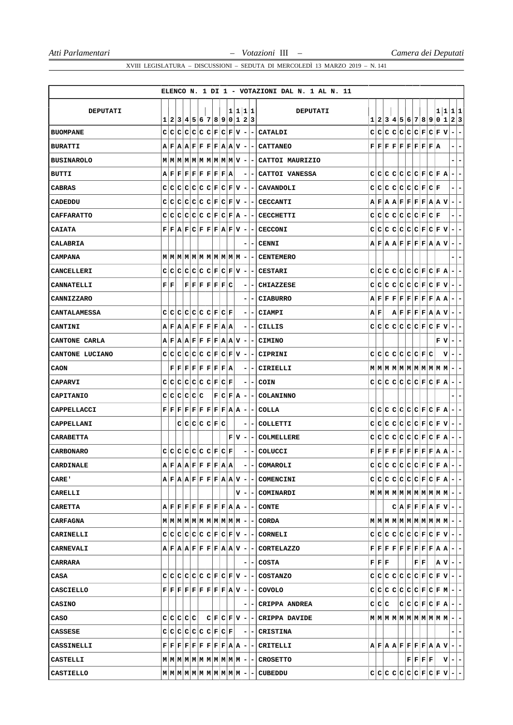|                   |                           |           |  |                                                                                                                                                                                                                      |         |         |                          |                          | ELENCO N. 1 DI 1 - VOTAZIONI DAL N. 1 AL N. 11                                                                                                                                                                                    |     |    |                                                |  |                                                                                                                                                                      |     |  |                                                                                                                                                                                                             |                          |                          |
|-------------------|---------------------------|-----------|--|----------------------------------------------------------------------------------------------------------------------------------------------------------------------------------------------------------------------|---------|---------|--------------------------|--------------------------|-----------------------------------------------------------------------------------------------------------------------------------------------------------------------------------------------------------------------------------|-----|----|------------------------------------------------|--|----------------------------------------------------------------------------------------------------------------------------------------------------------------------|-----|--|-------------------------------------------------------------------------------------------------------------------------------------------------------------------------------------------------------------|--------------------------|--------------------------|
| <b>DEPUTATI</b>   |                           |           |  |                                                                                                                                                                                                                      |         | 1 1 1 1 |                          |                          | <b>DEPUTATI</b>                                                                                                                                                                                                                   |     |    |                                                |  |                                                                                                                                                                      |     |  | 1 1                                                                                                                                                                                                         |                          | 1 1                      |
|                   | 1                         |           |  | 2 3 4 5 6 7 8 9 0 1 2 3                                                                                                                                                                                              |         |         |                          |                          |                                                                                                                                                                                                                                   |     |    |                                                |  |                                                                                                                                                                      |     |  | 1 2 3 4 5 6 7 8 9 0 1                                                                                                                                                                                       |                          | 2 3                      |
| <b>BUOMPANE</b>   |                           |           |  | $C C C C C C F C F V -$                                                                                                                                                                                              |         |         |                          | $\blacksquare$           | CATALDI                                                                                                                                                                                                                           |     |    |                                                |  | $C C C C C C F C F$                                                                                                                                                  |     |  | ١v                                                                                                                                                                                                          | $\blacksquare$           | -                        |
| <b>BURATTI</b>    |                           |           |  | $A \mid F \mid A \mid A \mid F \mid F \mid F \mid F \mid A \mid A \mid V \mid -$                                                                                                                                     |         |         |                          |                          | - CATTANEO                                                                                                                                                                                                                        |     |    |                                                |  | $\mathbf{F} \,   \, \mathbf{F} \,   \, \mathbf{F} \,   \, \mathbf{F} \,   \, \mathbf{F} \,   \, \mathbf{F} \,   \, \mathbf{F} \,   \, \mathbf{F} \,   \, \mathbf{A}$ |     |  |                                                                                                                                                                                                             |                          | -                        |
| <b>BUSINAROLO</b> |                           |           |  | $M$   M   M   M   M   M   M   M   M   M   V   -                                                                                                                                                                      |         |         |                          |                          | CATTOI MAURIZIO                                                                                                                                                                                                                   |     |    |                                                |  |                                                                                                                                                                      |     |  |                                                                                                                                                                                                             |                          | ۰                        |
| BUTTI             |                           |           |  | $A \,  F  \, F \,  F  \, F \,  F  \, F \,  F  \, A$                                                                                                                                                                  |         |         | $\overline{\phantom{a}}$ |                          | - CATTOI VANESSA                                                                                                                                                                                                                  |     |    |                                                |  |                                                                                                                                                                      |     |  | $C[C[C]C[C]C]F[C]F]A$                                                                                                                                                                                       | $\blacksquare$           | ۰                        |
| CABRAS            |                           |           |  | $C C C C C C F C F V -$                                                                                                                                                                                              |         |         |                          | н.                       | <b>CAVANDOLI</b>                                                                                                                                                                                                                  |     |    |                                                |  | $C[C[C]C[C]C[E]C]F$                                                                                                                                                  |     |  |                                                                                                                                                                                                             | -                        | -                        |
| CADEDDU           |                           |           |  | $C C C C C C F C F V -$                                                                                                                                                                                              |         |         |                          |                          | - CECCANTI                                                                                                                                                                                                                        |     |    |                                                |  |                                                                                                                                                                      |     |  | $A \,   \, \mathbf{F} \,   \, A \,   \, \mathbf{F} \,   \, \mathbf{F} \,   \, \mathbf{F} \,   \, \mathbf{F} \,   \, \mathbf{A} \,   \, \mathbf{A} \,   \, \mathbf{V}$                                       | $\overline{\phantom{a}}$ | -                        |
| <b>CAFFARATTO</b> |                           |           |  | $C C C C C C F C F A -$                                                                                                                                                                                              |         |         |                          | $\overline{\phantom{a}}$ | <b>CECCHETTI</b>                                                                                                                                                                                                                  |     |    |                                                |  | $C[C[C]C[C]C]F[C]F$                                                                                                                                                  |     |  |                                                                                                                                                                                                             | ۰.                       | ۰                        |
| <b>CAIATA</b>     |                           |           |  | $\mathbf{F} \,   \, \mathbf{F} \,   \, \mathbf{A} \,   \, \mathbf{F} \,   \, \mathbf{C} \,   \, \mathbf{F} \,   \, \mathbf{F} \,   \, \mathbf{F} \,   \, \mathbf{N} \,   \, \mathbf{F} \,   \, \mathbf{V} \,   \, -$ |         |         |                          | -                        | <b>CECCONI</b>                                                                                                                                                                                                                    |     |    |                                                |  |                                                                                                                                                                      |     |  | $C C C C C C F C F V$                                                                                                                                                                                       | $\blacksquare$           | $\overline{\phantom{a}}$ |
| CALABRIA          |                           |           |  |                                                                                                                                                                                                                      |         |         |                          |                          | <b>CENNI</b>                                                                                                                                                                                                                      |     |    |                                                |  |                                                                                                                                                                      |     |  | $A \,   \, \mathbf{F} \,   \, A \,   \, \mathbf{F} \,   \, \mathbf{F} \,   \, \mathbf{F} \,   \, \mathbf{F} \,   \, \mathbf{A} \,   \, \mathbf{A} \,   \, \mathbf{V}$                                       | Ξ.                       | ۰                        |
| CAMPANA           |                           |           |  |                                                                                                                                                                                                                      |         |         |                          |                          | <b>CENTEMERO</b>                                                                                                                                                                                                                  |     |    |                                                |  |                                                                                                                                                                      |     |  |                                                                                                                                                                                                             |                          | ۰                        |
| <b>CANCELLERI</b> | C                         |           |  | $C[C[C]C[C]F[C]F[V] -$                                                                                                                                                                                               |         |         |                          |                          | <b>CESTARI</b>                                                                                                                                                                                                                    | C I | c  |                                                |  |                                                                                                                                                                      |     |  | C C C C F C F A                                                                                                                                                                                             | ۰                        | ۰                        |
| <b>CANNATELLI</b> | ${\bf F} \,   \, {\bf F}$ |           |  | $\mathbf{F} \,   \, \mathbf{F} \,   \, \mathbf{F} \,   \, \mathbf{F} \,   \, \mathbf{F} \,   \, \mathbf{C}$                                                                                                          |         |         | -                        | ۰.                       | CHIAZZESE                                                                                                                                                                                                                         |     |    |                                                |  |                                                                                                                                                                      |     |  | $C C C C C C F C F V$                                                                                                                                                                                       | ÷.                       | -                        |
| CANNIZZARO        |                           |           |  |                                                                                                                                                                                                                      |         |         |                          |                          | <b>CIABURRO</b>                                                                                                                                                                                                                   |     |    |                                                |  |                                                                                                                                                                      |     |  | $A \,   \, \mathbf{F} \,   \, \mathbf{F} \,   \, \mathbf{F} \,   \, \mathbf{F} \,   \, \mathbf{F} \,   \, \mathbf{F} \,   \, \mathbf{F} \,   \, \mathbf{A} \,   \, \mathbf{A}$                              | $\blacksquare$           | $\overline{ }$           |
| CANTALAMESSA      | C                         |           |  | $ C C C C C F C F$                                                                                                                                                                                                   |         |         | -                        |                          | <b>CIAMPI</b>                                                                                                                                                                                                                     | AF  |    |                                                |  |                                                                                                                                                                      |     |  | $A$ $F$ $F$ $F$ $F$ $A$ $A$ $V$                                                                                                                                                                             | $\blacksquare$           | $\overline{\phantom{a}}$ |
| <b>CANTINI</b>    |                           |           |  | $A$ $F$ $A$ $A$ $F$ $F$ $F$ $F$ $A$ $A$                                                                                                                                                                              |         |         |                          |                          | CILLIS                                                                                                                                                                                                                            |     |    |                                                |  |                                                                                                                                                                      |     |  | $C C C C C C F C F V$                                                                                                                                                                                       | $\blacksquare$           | ۰                        |
| CANTONE CARLA     |                           |           |  | $A \,   \, \mathbf{F} \,   \, A \,   \, \mathbf{A} \,   \, \mathbf{F} \,   \, \mathbf{F} \,   \, \mathbf{F} \,   \, \mathbf{F} \,   \, A \,   \, \mathbf{A} \,   \, \mathbf{V} \,   \, -$                            |         |         |                          |                          | CIMINO                                                                                                                                                                                                                            |     |    |                                                |  |                                                                                                                                                                      |     |  | ${\tt F} {\tt V} $                                                                                                                                                                                          | $\overline{a}$           | $\overline{\phantom{a}}$ |
| CANTONE LUCIANO   |                           |           |  | $C C C C C C C F C F V $                                                                                                                                                                                             |         |         | $\overline{\phantom{a}}$ | ۰                        | CIPRINI                                                                                                                                                                                                                           |     |    |                                                |  | $C C C C C C C F C$                                                                                                                                                  |     |  | v                                                                                                                                                                                                           | $\blacksquare$           | $\overline{\phantom{a}}$ |
| CAON              |                           |           |  | $\mathbf{F} \,   \, \mathbf{F} \,   \, \mathbf{F} \,   \, \mathbf{F} \,   \, \mathbf{F} \,   \, \mathbf{F} \,   \, \mathbf{F} \,   \, \mathbf{A}$                                                                    |         |         |                          |                          | CIRIELLI                                                                                                                                                                                                                          |     |    |                                                |  |                                                                                                                                                                      |     |  |                                                                                                                                                                                                             | $\overline{\phantom{a}}$ | ۰                        |
| <b>CAPARVI</b>    |                           |           |  | $C C C C C C F C F$                                                                                                                                                                                                  |         |         |                          |                          | COIN                                                                                                                                                                                                                              |     |    |                                                |  |                                                                                                                                                                      |     |  | $C C C C C C F C F R$                                                                                                                                                                                       | ۰                        | -                        |
| CAPITANIO         | C                         | C C C C C |  |                                                                                                                                                                                                                      | F C F A |         | $\overline{\phantom{a}}$ | $\overline{\phantom{a}}$ | COLANINNO                                                                                                                                                                                                                         |     |    |                                                |  |                                                                                                                                                                      |     |  |                                                                                                                                                                                                             |                          | -                        |
| CAPPELLACCI       |                           |           |  | $\mathbf{F} \,   \, \mathbf{F} \,   \, \mathbf{F} \,   \, \mathbf{F} \,   \, \mathbf{F} \,   \, \mathbf{F} \,   \, \mathbf{F} \,   \, \mathbf{F} \,   \, \mathbf{A} \,   \, \mathbf{A} \,  $                         |         |         |                          |                          | COLLA                                                                                                                                                                                                                             | C.  | IС |                                                |  |                                                                                                                                                                      |     |  | C C C C F C F A                                                                                                                                                                                             | ۰.                       | -                        |
| CAPPELLANI        |                           |           |  | C C C C F C                                                                                                                                                                                                          |         |         |                          |                          | <b>COLLETTI</b>                                                                                                                                                                                                                   |     |    |                                                |  |                                                                                                                                                                      |     |  | $C C C C C C C F C F V$                                                                                                                                                                                     | $\blacksquare$           | $\overline{\phantom{a}}$ |
| CARABETTA         |                           |           |  |                                                                                                                                                                                                                      |         | F V     | $\overline{\phantom{a}}$ | - 1                      | COLMELLERE                                                                                                                                                                                                                        |     |    |                                                |  |                                                                                                                                                                      |     |  | $C C C C C C F C F R$                                                                                                                                                                                       |                          | $ -$                     |
| <b>CARBONARO</b>  | C l                       |           |  | C C C C C F C F                                                                                                                                                                                                      |         |         |                          | $\overline{\phantom{a}}$ | COLUCCI                                                                                                                                                                                                                           |     |    |                                                |  |                                                                                                                                                                      |     |  | $\mathbf{F} \mathbf{F} \mathbf{F} \mathbf{F} \mathbf{F} \mathbf{F} \mathbf{F} \mathbf{F} \mathbf{F} \mathbf{A} \mathbf{A}$                                                                                  | ÷.                       | $\overline{\phantom{a}}$ |
| CARDINALE         |                           |           |  | ${\bf A}   {\bf F}   {\bf A}   {\bf A}   {\bf F}   {\bf F}   {\bf F}   {\bf F}   {\bf A}   {\bf A}  $                                                                                                                |         |         |                          |                          | COMAROLI                                                                                                                                                                                                                          |     |    |                                                |  |                                                                                                                                                                      |     |  | $c c c c c c c F c F A $                                                                                                                                                                                    |                          |                          |
| <b>CARE'</b>      |                           |           |  |                                                                                                                                                                                                                      |         |         |                          |                          | $A F A A F F F F A A V - - COMENCINI $                                                                                                                                                                                            |     |    |                                                |  |                                                                                                                                                                      |     |  | $C C C C C C F C F A - -$                                                                                                                                                                                   |                          |                          |
| CARELLI           |                           |           |  |                                                                                                                                                                                                                      |         |         |                          |                          | $V - - $ COMINARDI                                                                                                                                                                                                                |     |    |                                                |  |                                                                                                                                                                      |     |  | $\mathbf{M} \mathbf{M} \mathbf{M} \mathbf{M} \mathbf{M} \mathbf{M} \mathbf{M} \mathbf{M} \mathbf{M} \mathbf{M} \mathbf{M} \mathbf{N} $                                                                      |                          |                          |
| <b>CARETTA</b>    |                           |           |  |                                                                                                                                                                                                                      |         |         |                          |                          | $A \,   \, \mathbf{F} \,   \, \mathbf{F} \,   \, \mathbf{F} \,   \, \mathbf{F} \,   \, \mathbf{F} \,   \, \mathbf{F} \,   \, \mathbf{F} \,   \, \mathbf{A} \,   \, \mathbf{A} \,   \, - \,   \, - \,   \, \text{CONTE}$           |     |    |                                                |  |                                                                                                                                                                      |     |  | $\mathbf{C} \mathbf{A} \mathbf{F} \mathbf{F} \mathbf{F} \mathbf{A} \mathbf{F} \mathbf{V} \mathbf{-} $                                                                                                       |                          |                          |
| <b>CARFAGNA</b>   |                           |           |  |                                                                                                                                                                                                                      |         |         |                          |                          | $M M M M M M M M M M M M $ - - CORDA                                                                                                                                                                                              |     |    |                                                |  |                                                                                                                                                                      |     |  |                                                                                                                                                                                                             |                          |                          |
| CARINELLI         |                           |           |  |                                                                                                                                                                                                                      |         |         |                          |                          | $C C C C C C F C F V - - CORNELL$                                                                                                                                                                                                 |     |    |                                                |  |                                                                                                                                                                      |     |  | $C C C C C C F C F V - -$                                                                                                                                                                                   |                          |                          |
| <b>CARNEVALI</b>  |                           |           |  |                                                                                                                                                                                                                      |         |         |                          |                          | $A F A A F F F F A A V -$ CORTELAZZO                                                                                                                                                                                              |     |    |                                                |  |                                                                                                                                                                      |     |  | $\mathbf{F} \,   \, \mathbf{F} \,   \, \mathbf{F} \,   \, \mathbf{F} \,   \, \mathbf{F} \,   \, \mathbf{F} \,   \, \mathbf{F} \,   \, \mathbf{F} \,   \, \mathbf{A} \,   \, \mathbf{A} \,   \, - \,   \, -$ |                          |                          |
| CARRARA           |                           |           |  |                                                                                                                                                                                                                      |         |         |                          |                          | - - COSTA                                                                                                                                                                                                                         |     |    | ${\bf F} \,   \, {\bf F} \,   \, {\bf F} \,  $ |  |                                                                                                                                                                      | F F |  | $ {\bf A} {\bf V} $ – $ -$                                                                                                                                                                                  |                          |                          |
| CASA              |                           |           |  |                                                                                                                                                                                                                      |         |         |                          |                          | $c c c c c c F c F v - c c T $                                                                                                                                                                                                    |     |    |                                                |  |                                                                                                                                                                      |     |  | $C C C C C C F C F V - -$                                                                                                                                                                                   |                          |                          |
| <b>CASCIELLO</b>  |                           |           |  |                                                                                                                                                                                                                      |         |         |                          |                          | $\mathbf{F} \,   \, \mathbf{F} \,   \, \mathbf{F} \,   \, \mathbf{F} \,   \, \mathbf{F} \,   \, \mathbf{F} \,   \, \mathbf{F} \,   \, \mathbf{F} \,   \, \mathbf{A} \,   \, \mathbf{V} \,   \, - \,   \, - \,   \, \text{COVOLD}$ |     |    |                                                |  |                                                                                                                                                                      |     |  | $C C C C C C F C F M - -$                                                                                                                                                                                   |                          |                          |
| <b>CASINO</b>     |                           |           |  |                                                                                                                                                                                                                      |         |         |                          |                          | $- - $ CRIPPA ANDREA                                                                                                                                                                                                              |     |    | C C C                                          |  |                                                                                                                                                                      |     |  | $ C C C F C F A -$                                                                                                                                                                                          |                          |                          |
| CASO              |                           | C C C C C |  |                                                                                                                                                                                                                      |         |         |                          |                          | $ C F C F V $ - $ C$ RIPPA DAVIDE                                                                                                                                                                                                 |     |    |                                                |  |                                                                                                                                                                      |     |  | $\texttt{M} \texttt{M} \texttt{M} \texttt{M} \texttt{M} \texttt{M} \texttt{M} \texttt{M} \texttt{M} \texttt{M} - - $                                                                                        |                          |                          |
| CASSESE           |                           |           |  | $C C C C C C F C F . \label{eq:2}$                                                                                                                                                                                   |         |         |                          |                          | $ - - $ $CRISTINA$                                                                                                                                                                                                                |     |    |                                                |  |                                                                                                                                                                      |     |  |                                                                                                                                                                                                             |                          | $-1-$                    |
| CASSINELLI        |                           |           |  |                                                                                                                                                                                                                      |         |         |                          |                          | $\mathbf{F} \,   \, \mathbf{F} \,   \, \mathbf{F} \,   \, \mathbf{F} \,   \, \mathbf{F} \,   \, \mathbf{F} \,   \, \mathbf{F} \,   \, \mathbf{F} \,   \, \mathbf{A} \,   \, \mathbf{A} \,   -   -   \, \text{CRTTELLI}$           |     |    |                                                |  |                                                                                                                                                                      |     |  | $\mathbf{A} \mid \mathbf{F} \mid \mathbf{A} \mid \mathbf{A} \mid \mathbf{F} \mid \mathbf{F} \mid \mathbf{F} \mid \mathbf{F} \mid \mathbf{A} \mid \mathbf{A} \mid \mathbf{V} \mid - \mid -$                  |                          |                          |
| CASTELLI          |                           |           |  |                                                                                                                                                                                                                      |         |         |                          |                          |                                                                                                                                                                                                                                   |     |    |                                                |  | F F F F                                                                                                                                                              |     |  |                                                                                                                                                                                                             | $ \mathbf{v} - $ – $ $   |                          |
| <b>CASTIELLO</b>  |                           |           |  |                                                                                                                                                                                                                      |         |         |                          |                          | CUBEDDU                                                                                                                                                                                                                           |     |    |                                                |  |                                                                                                                                                                      |     |  |                                                                                                                                                                                                             |                          |                          |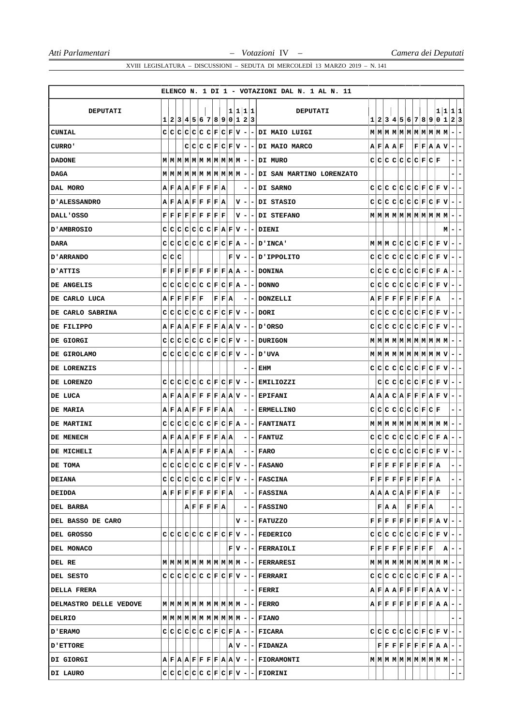|                        |                                                                                                                                                                              |  |  |  |                                                        |  |  |         | ELENCO N. 1 DI 1 - VOTAZIONI DAL N. 1 AL N. 11                                                                                                                                                                                       |  |           |                                                                                                                                                                                                                                                                                                                                                                                |  |           |                    |                          |
|------------------------|------------------------------------------------------------------------------------------------------------------------------------------------------------------------------|--|--|--|--------------------------------------------------------|--|--|---------|--------------------------------------------------------------------------------------------------------------------------------------------------------------------------------------------------------------------------------------|--|-----------|--------------------------------------------------------------------------------------------------------------------------------------------------------------------------------------------------------------------------------------------------------------------------------------------------------------------------------------------------------------------------------|--|-----------|--------------------|--------------------------|
| <b>DEPUTATI</b>        | 1 2 3 4 5 6 7 8 9 0 1 2 3                                                                                                                                                    |  |  |  |                                                        |  |  | 1 1 1 1 | <b>DEPUTATI</b>                                                                                                                                                                                                                      |  |           | 1 2 3 4 5 6 7 8 9 0 1 2 3                                                                                                                                                                                                                                                                                                                                                      |  | 1 1 1 1   |                    |                          |
| CUNIAL                 |                                                                                                                                                                              |  |  |  |                                                        |  |  |         | $C C C C C C F C F V - - DI$ Maio Luigi                                                                                                                                                                                              |  |           | $\mathbf{M} \mid \mathbf{M} \mid \mathbf{M} \mid \mathbf{M} \mid \mathbf{M} \mid \mathbf{M} \mid \mathbf{M} \mid \mathbf{M} \mid \mathbf{M} \mid \mathbf{M} \mid - \mid -$                                                                                                                                                                                                     |  |           |                    |                          |
| <b>CURRO'</b>          |                                                                                                                                                                              |  |  |  |                                                        |  |  |         | $C C C F C F V - - DI$ MAIO MARCO                                                                                                                                                                                                    |  | A F A A F |                                                                                                                                                                                                                                                                                                                                                                                |  | F F A A V | $-1-$              |                          |
| <b>DADONE</b>          |                                                                                                                                                                              |  |  |  |                                                        |  |  |         | $M M M M M M M M M M M M $ --DI MURO                                                                                                                                                                                                 |  |           | $C C C C C C F C F$                                                                                                                                                                                                                                                                                                                                                            |  |           |                    | $ -$                     |
| DAGA                   |                                                                                                                                                                              |  |  |  |                                                        |  |  |         | $M M M M M M M M M M M $ --DI SAN MARTINO LORENZATO                                                                                                                                                                                  |  |           |                                                                                                                                                                                                                                                                                                                                                                                |  |           |                    | $\overline{\phantom{a}}$ |
| DAL MORO               | A F A A F F F F A                                                                                                                                                            |  |  |  |                                                        |  |  |         | $- - DI$ SARNO                                                                                                                                                                                                                       |  |           | $C[C[C]C[C]C[E]C]F[V]$                                                                                                                                                                                                                                                                                                                                                         |  |           | $ - -$             |                          |
| <b>D'ALESSANDRO</b>    | $A$ $F$ $A$ $A$ $F$ $F$ $F$ $F$ $A$ $A$                                                                                                                                      |  |  |  |                                                        |  |  |         | V - - DI STASIO                                                                                                                                                                                                                      |  |           | $C C C C C C F C F V - -$                                                                                                                                                                                                                                                                                                                                                      |  |           |                    |                          |
| DALL'OSSO              | $\mathbf{F} \,   \, \mathbf{F} \,   \, \mathbf{F} \,   \, \mathbf{F} \,   \, \mathbf{F} \,   \, \mathbf{F} \,   \, \mathbf{F} \,   \, \mathbf{F} \,   \, \mathbf{F} \,   \,$ |  |  |  |                                                        |  |  |         | V - - DI STEFANO                                                                                                                                                                                                                     |  |           |                                                                                                                                                                                                                                                                                                                                                                                |  |           |                    |                          |
| D'AMBROSIO             |                                                                                                                                                                              |  |  |  |                                                        |  |  |         | $C C C C C C F A F V - -$ DIENI                                                                                                                                                                                                      |  |           |                                                                                                                                                                                                                                                                                                                                                                                |  |           | $M$   -   -        |                          |
| DARA                   |                                                                                                                                                                              |  |  |  |                                                        |  |  |         | $C C C C C C F C F A - - D'INCA' $                                                                                                                                                                                                   |  |           | $M/M C C C C F C F V -$                                                                                                                                                                                                                                                                                                                                                        |  |           |                    |                          |
| D'ARRANDO              | C C C                                                                                                                                                                        |  |  |  |                                                        |  |  |         | $F V - - D $ IPPOLITO                                                                                                                                                                                                                |  |           | $C C C C C C F C F V - -$                                                                                                                                                                                                                                                                                                                                                      |  |           |                    |                          |
| <b>D'ATTIS</b>         |                                                                                                                                                                              |  |  |  |                                                        |  |  |         | $\mathbf{F} \,   \, \mathbf{F} \,   \, \mathbf{F} \,   \, \mathbf{F} \,   \, \mathbf{F} \,   \, \mathbf{F} \,   \, \mathbf{F} \,   \, \mathbf{F} \,   \, \mathbf{A} \,   \, \mathbf{A} \,   \, \mathbf{-} \,   \, \mathbf{-}$ DONINA |  |           | $C[C[C]C[C]C]F[C]F[A]$                                                                                                                                                                                                                                                                                                                                                         |  |           |                    | $-1-$                    |
| DE ANGELIS             |                                                                                                                                                                              |  |  |  |                                                        |  |  |         | $C C C C C C F C F A - - DONNO$                                                                                                                                                                                                      |  |           | $C C C C C C C F C F V $                                                                                                                                                                                                                                                                                                                                                       |  |           | $\blacksquare$     | $\overline{ }$           |
| DE CARLO LUCA          | A F F F F F                                                                                                                                                                  |  |  |  | F F A                                                  |  |  |         | - - DONZELLI                                                                                                                                                                                                                         |  |           | $A F F F F F F F F A $                                                                                                                                                                                                                                                                                                                                                         |  |           |                    | $- -$                    |
| DE CARLO SABRINA       |                                                                                                                                                                              |  |  |  |                                                        |  |  |         | $C C C C C C F C F V - - DORI $                                                                                                                                                                                                      |  |           | $C C C C C C F C F V - -$                                                                                                                                                                                                                                                                                                                                                      |  |           |                    |                          |
| DE FILIPPO             |                                                                                                                                                                              |  |  |  |                                                        |  |  |         | $A$ $F$ $A$ $A$ $F$ $F$ $F$ $F$ $A$ $A$ $V$ $  D'ORSO$                                                                                                                                                                               |  |           | $C C C C C C C F C F V $                                                                                                                                                                                                                                                                                                                                                       |  |           | $ -$               |                          |
| DE GIORGI              |                                                                                                                                                                              |  |  |  |                                                        |  |  |         | $C C C C C C F C F V - -$ DURIGON                                                                                                                                                                                                    |  |           |                                                                                                                                                                                                                                                                                                                                                                                |  |           |                    |                          |
| DE GIROLAMO            | $C C C C C C F C F V -$                                                                                                                                                      |  |  |  |                                                        |  |  |         | – I אטים                                                                                                                                                                                                                             |  |           | $\mathbf{M} \mid \mathbf{M} \mid \mathbf{M} \mid \mathbf{M} \mid \mathbf{M} \mid \mathbf{M} \mid \mathbf{M} \mid \mathbf{M} \mid \mathbf{M} \mid \mathbf{V} \mid - \mid -$                                                                                                                                                                                                     |  |           |                    |                          |
| DE LORENZIS            |                                                                                                                                                                              |  |  |  |                                                        |  |  |         | $-$   EHM                                                                                                                                                                                                                            |  |           | $C C C C C C C F C F V $                                                                                                                                                                                                                                                                                                                                                       |  |           | $-1-$              |                          |
| DE LORENZO             |                                                                                                                                                                              |  |  |  |                                                        |  |  |         | $C C C C C C F C F V - -$ EMILIOZZI                                                                                                                                                                                                  |  |           | $C C C C C F C F V - -$                                                                                                                                                                                                                                                                                                                                                        |  |           |                    |                          |
| DE LUCA                |                                                                                                                                                                              |  |  |  |                                                        |  |  |         | $A F A A F F F F A A V - - EPIFANI$                                                                                                                                                                                                  |  |           | $A  A  C  A  F  F  F  A  F  V  -   -$                                                                                                                                                                                                                                                                                                                                          |  |           |                    |                          |
| DE MARIA               | $A$ $F$ $A$ $A$ $F$ $F$ $F$ $F$ $A$ $A$                                                                                                                                      |  |  |  |                                                        |  |  |         | <b>- ERMELLINO</b>                                                                                                                                                                                                                   |  |           | $C[C[C]C[C]C[E]E]F$                                                                                                                                                                                                                                                                                                                                                            |  |           |                    | $-1-$                    |
| DE MARTINI             | $C C C C C C F C F A -$                                                                                                                                                      |  |  |  |                                                        |  |  |         | <b>- FANTINATI</b>                                                                                                                                                                                                                   |  |           |                                                                                                                                                                                                                                                                                                                                                                                |  |           |                    |                          |
| DE MENECH              | $A F A A F F F F A A$                                                                                                                                                        |  |  |  |                                                        |  |  |         | $- - $ FANTUZ                                                                                                                                                                                                                        |  |           | $C C C C C C F C F A - -$                                                                                                                                                                                                                                                                                                                                                      |  |           |                    |                          |
| DE MICHELI             | $A$ $F$ $A$ $A$ $F$ $F$ $F$ $F$ $A$ $A$                                                                                                                                      |  |  |  |                                                        |  |  |         | $- - $ FARO                                                                                                                                                                                                                          |  |           | $C C C C C C F C F V - -$                                                                                                                                                                                                                                                                                                                                                      |  |           |                    |                          |
| DE TOMA                | $c c c c c c c F c F v -$                                                                                                                                                    |  |  |  |                                                        |  |  |         | $-$ FASANO                                                                                                                                                                                                                           |  |           | $\mathbf{F} \,   \, \mathbf{F} \,   \, \mathbf{F} \,   \, \mathbf{F} \,   \, \mathbf{F} \,   \, \mathbf{F} \,   \, \mathbf{F} \,   \, \mathbf{F} \,   \, \mathbf{A} \,   \,$                                                                                                                                                                                                   |  |           |                    |                          |
| <b>DEIANA</b>          |                                                                                                                                                                              |  |  |  |                                                        |  |  |         | $C C C C C C F C F V -$ FASCINA                                                                                                                                                                                                      |  |           | $\mathbf{F} \,   \, \mathbf{F} \,   \, \mathbf{F} \,   \, \mathbf{F} \,   \, \mathbf{F} \,   \, \mathbf{F} \,   \, \mathbf{F} \,   \, \mathbf{F} \,   \, \mathbf{A} \,  $                                                                                                                                                                                                      |  |           |                    | -1-                      |
| <b>DEIDDA</b>          | $\mathtt{A} \mathtt{F} \mathtt{F} \mathtt{F} \mathtt{F} \mathtt{F} \mathtt{F} \mathtt{F} \mathtt{A} $                                                                        |  |  |  |                                                        |  |  |         | - - FASSINA                                                                                                                                                                                                                          |  |           | A   A   B   C   A   F   F   F   A   F                                                                                                                                                                                                                                                                                                                                          |  |           |                    | -1-                      |
| DEL BARBA              |                                                                                                                                                                              |  |  |  | $ {\bf A} $ ${\bf F} {\bf F} {\bf F} {\bf F} {\bf A} $ |  |  |         | $- - FASSINO$                                                                                                                                                                                                                        |  | F A A     | F F F A                                                                                                                                                                                                                                                                                                                                                                        |  |           |                    | -1-                      |
| DEL BASSO DE CARO      |                                                                                                                                                                              |  |  |  |                                                        |  |  |         | V - - FATUZZO                                                                                                                                                                                                                        |  |           | $\mathbf{F} \,   \, \mathbf{F} \,   \, \mathbf{F} \,   \, \mathbf{F} \,   \, \mathbf{F} \,   \, \mathbf{F} \,   \, \mathbf{F} \,   \, \mathbf{F} \,   \, \mathbf{A} \,   \, \mathbf{V} \,   \, - \,   \, - \,$                                                                                                                                                                 |  |           |                    |                          |
| DEL GROSSO             |                                                                                                                                                                              |  |  |  |                                                        |  |  |         | $C C C C C C F C F V - -$ FEDERICO                                                                                                                                                                                                   |  |           | $C C C C C C F C F V - -$                                                                                                                                                                                                                                                                                                                                                      |  |           |                    |                          |
| DEL MONACO             |                                                                                                                                                                              |  |  |  |                                                        |  |  |         | $F V - $ - FERRAIOLI                                                                                                                                                                                                                 |  |           | $\mathbf{F} \,   \, \mathbf{F} \,   \, \mathbf{F} \,   \, \mathbf{F} \,   \, \mathbf{F} \,   \, \mathbf{F} \,   \, \mathbf{F} \,   \, \mathbf{F} \,   \, \mathbf{F}$                                                                                                                                                                                                           |  |           | $ \mathbf{A} - - $ |                          |
| DEL RE                 |                                                                                                                                                                              |  |  |  |                                                        |  |  |         |                                                                                                                                                                                                                                      |  |           |                                                                                                                                                                                                                                                                                                                                                                                |  |           |                    |                          |
| DEL SESTO              |                                                                                                                                                                              |  |  |  |                                                        |  |  |         | $C C C C C C F C F V - - FERRARI $                                                                                                                                                                                                   |  |           | $C C C C C C F C F A - -$                                                                                                                                                                                                                                                                                                                                                      |  |           |                    |                          |
| <b>DELLA FRERA</b>     |                                                                                                                                                                              |  |  |  |                                                        |  |  |         | $- - $ FERRI                                                                                                                                                                                                                         |  |           | $A \,   \, \mathbf{F} \,   \, \mathbf{A} \,   \, \mathbf{A} \,   \, \mathbf{F} \,   \, \mathbf{F} \,   \, \mathbf{F} \,   \, \mathbf{F} \,   \, \mathbf{A} \,   \, \mathbf{A} \,   \, \mathbf{V} \,   \, - \,   \, - \,  $                                                                                                                                                     |  |           |                    |                          |
| DELMASTRO DELLE VEDOVE |                                                                                                                                                                              |  |  |  |                                                        |  |  |         |                                                                                                                                                                                                                                      |  |           | $\mathbf{A} \mid \mathbf{F} \mid \mathbf{F} \mid \mathbf{F} \mid \mathbf{F} \mid \mathbf{F} \mid \mathbf{F} \mid \mathbf{F} \mid \mathbf{A} \mid \mathbf{A} \mid - \mid -$                                                                                                                                                                                                     |  |           |                    |                          |
| DELRIO                 |                                                                                                                                                                              |  |  |  |                                                        |  |  |         |                                                                                                                                                                                                                                      |  |           |                                                                                                                                                                                                                                                                                                                                                                                |  |           |                    | $-1-$                    |
| <b>D'ERAMO</b>         |                                                                                                                                                                              |  |  |  |                                                        |  |  |         | $C C C C C C F C F A - - FICARA$                                                                                                                                                                                                     |  |           | $C C C C C C F C F V - -$                                                                                                                                                                                                                                                                                                                                                      |  |           |                    |                          |
| ETTORE                 |                                                                                                                                                                              |  |  |  |                                                        |  |  |         | $ A V $ - $ $ - $ $ FIDANZA                                                                                                                                                                                                          |  |           | $\mathbf{F} \,   \, \mathbf{F} \,   \, \mathbf{F} \,   \, \mathbf{F} \,   \, \mathbf{F} \,   \, \mathbf{F} \,   \, \mathbf{F} \,   \, \mathbf{A} \,   \, \mathbf{A} \,   \, - \,   \, -$                                                                                                                                                                                       |  |           |                    |                          |
| DI GIORGI              |                                                                                                                                                                              |  |  |  |                                                        |  |  |         | $A F A A F F F F A A V - - FIORAMONTI$                                                                                                                                                                                               |  |           | $\textbf{M} \hspace{0.05cm} \hspace{0.05cm} \textbf{M} \hspace{0.05cm} \hspace{0.05cm} \textbf{M} \hspace{0.05cm} \hspace{0.05cm} \textbf{M} \hspace{0.05cm} \hspace{0.05cm} \textbf{M} \hspace{0.05cm} \hspace{0.05cm} \textbf{M} \hspace{0.05cm} \hspace{0.05cm} \textbf{M} \hspace{0.05cm} \hspace{0.05cm} \textbf{M} \hspace{0.05cm} \hspace{0.05cm} - \hspace{0.05cm}  -$ |  |           |                    |                          |
| DI LAURO               |                                                                                                                                                                              |  |  |  |                                                        |  |  |         | $C C C C C C F C F V - - FIORINI$                                                                                                                                                                                                    |  |           |                                                                                                                                                                                                                                                                                                                                                                                |  |           |                    | -1-                      |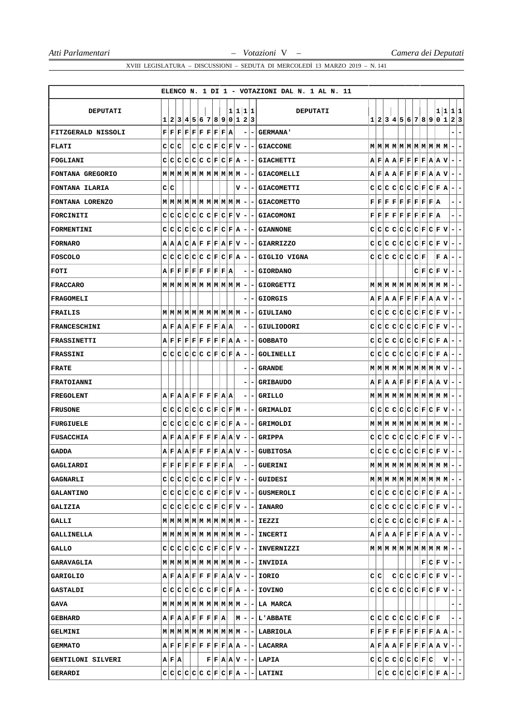|                     |                                                                                                                                                                                              |  |  |                                |  |    |                          |     | ELENCO N. 1 DI 1 - VOTAZIONI DAL N. 1 AL N. 11                                                                                                                                                                                    |     |  |                                                                                                                                                                      |           |   |                                                                                                                                                                                                                            |                          |                          |
|---------------------|----------------------------------------------------------------------------------------------------------------------------------------------------------------------------------------------|--|--|--------------------------------|--|----|--------------------------|-----|-----------------------------------------------------------------------------------------------------------------------------------------------------------------------------------------------------------------------------------|-----|--|----------------------------------------------------------------------------------------------------------------------------------------------------------------------|-----------|---|----------------------------------------------------------------------------------------------------------------------------------------------------------------------------------------------------------------------------|--------------------------|--------------------------|
| <b>DEPUTATI</b>     |                                                                                                                                                                                              |  |  |                                |  |    | 1 1 1 1                  |     | <b>DEPUTATI</b>                                                                                                                                                                                                                   |     |  |                                                                                                                                                                      |           |   | 1 1 1 1                                                                                                                                                                                                                    |                          |                          |
|                     | 1                                                                                                                                                                                            |  |  | 2 3 4 5 6 7 8 9 0 1 2 3        |  |    |                          |     |                                                                                                                                                                                                                                   |     |  |                                                                                                                                                                      |           |   | 1 2 3 4 5 6 7 8 9 0 1                                                                                                                                                                                                      | 2 3                      |                          |
| FITZGERALD NISSOLI  | $\mathbf{F} \,   \, \mathbf{F} \,   \, \mathbf{F} \,   \, \mathbf{F} \,   \, \mathbf{F} \,   \, \mathbf{F} \,   \, \mathbf{F} \,   \, \mathbf{F} \,   \, \mathbf{A}$                         |  |  |                                |  |    |                          | -   | <b>GERMANA'</b>                                                                                                                                                                                                                   |     |  |                                                                                                                                                                      |           |   |                                                                                                                                                                                                                            |                          | -                        |
| <b>FLATI</b>        | C C C                                                                                                                                                                                        |  |  | $C C C F C F V $ -             |  |    |                          |     | - GIACCONE                                                                                                                                                                                                                        |     |  |                                                                                                                                                                      |           |   |                                                                                                                                                                                                                            |                          | ۰                        |
| <b>FOGLIANI</b>     | $C C C C C C F C F A - -1$                                                                                                                                                                   |  |  |                                |  |    |                          |     | <b>GIACHETTI</b>                                                                                                                                                                                                                  |     |  |                                                                                                                                                                      |           |   | $A \,   \, \mathbf{F} \,   \, A \,   \, \mathbf{F} \,   \, \mathbf{F} \,   \, \mathbf{F} \,   \, \mathbf{F} \,   \, \mathbf{F} \,   \, A \,   \, \mathbf{V}$                                                               | $-1-$                    |                          |
| FONTANA GREGORIO    |                                                                                                                                                                                              |  |  |                                |  |    |                          |     | - GIACOMELLI                                                                                                                                                                                                                      |     |  |                                                                                                                                                                      |           |   | $A \,   \, \mathbf{F} \,   \, A \,   \, \mathbf{F} \,   \, \mathbf{F} \,   \, \mathbf{F} \,   \, \mathbf{F} \,   \, A \,   \, \mathbf{A} \,   \, \mathbf{V}$                                                               | ÷.                       | -                        |
| FONTANA ILARIA      | C C                                                                                                                                                                                          |  |  |                                |  | v١ | $\overline{\phantom{a}}$ |     | <b>GIACOMETTI</b>                                                                                                                                                                                                                 |     |  | $C C C C C C F C F A$                                                                                                                                                |           |   |                                                                                                                                                                                                                            | ۰.                       | ۰                        |
| FONTANA LORENZO     |                                                                                                                                                                                              |  |  |                                |  |    |                          |     | <b>- GIACOMETTO</b>                                                                                                                                                                                                               |     |  | ${\bf F}[{\bf F}[{\bf F}] {\bf F}[{\bf F}] {\bf F}[{\bf F}] {\bf F}[{\bf F}] {\bf A}$                                                                                |           |   |                                                                                                                                                                                                                            |                          | ۰                        |
| FORCINITI           | C.                                                                                                                                                                                           |  |  | $C[C[C]C[C]F[C]F[V] -$         |  |    |                          |     | <b>GIACOMONI</b>                                                                                                                                                                                                                  |     |  | $\mathbf{F} \,   \, \mathbf{F} \,   \, \mathbf{F} \,   \, \mathbf{F} \,   \, \mathbf{F} \,   \, \mathbf{F} \,   \, \mathbf{F} \,   \, \mathbf{F} \,   \, \mathbf{A}$ |           |   |                                                                                                                                                                                                                            |                          | ۰                        |
| FORMENTINI          | $C C C C C C F C F A -$                                                                                                                                                                      |  |  |                                |  |    |                          |     | - GIANNONE                                                                                                                                                                                                                        |     |  | $C C C C C C C F C F V$                                                                                                                                              |           |   |                                                                                                                                                                                                                            | $\blacksquare$           | ۰                        |
| <b>FORNARO</b>      | $A A B C A F F F A F V -$                                                                                                                                                                    |  |  |                                |  |    |                          |     | - GIARRIZZO                                                                                                                                                                                                                       |     |  |                                                                                                                                                                      |           |   | $C C C C C C C F C F V $                                                                                                                                                                                                   | $\blacksquare$           | $\overline{\phantom{a}}$ |
| FOSCOLO             | C                                                                                                                                                                                            |  |  | C C C C C F C F A              |  |    | $\overline{\phantom{a}}$ |     | GIGLIO VIGNA                                                                                                                                                                                                                      |     |  | C C C C C C F                                                                                                                                                        |           | F | ΙA.                                                                                                                                                                                                                        | $\overline{\phantom{a}}$ | ۰                        |
| FOTI                | $\mathtt{A} \mathtt{F} \mathtt{F} \mathtt{F} \mathtt{F} \mathtt{F} \mathtt{F} \mathtt{F} \mathtt{A}$                                                                                         |  |  |                                |  |    |                          | -   | <b>GIORDANO</b>                                                                                                                                                                                                                   |     |  |                                                                                                                                                                      | C F C F V |   |                                                                                                                                                                                                                            | ۰.                       | ۰                        |
| <b>FRACCARO</b>     | $M$   $M$   $M$   $M$   $M$   $M$   $M$   $M$   $M$   $M$   $-$                                                                                                                              |  |  |                                |  |    |                          |     | GIORGETTI                                                                                                                                                                                                                         |     |  |                                                                                                                                                                      |           |   |                                                                                                                                                                                                                            | $\blacksquare$           | $\overline{\phantom{a}}$ |
| <b>FRAGOMELI</b>    |                                                                                                                                                                                              |  |  |                                |  |    |                          |     | <b>GIORGIS</b>                                                                                                                                                                                                                    |     |  |                                                                                                                                                                      |           |   | $A$ $F$ $A$ $A$ $F$ $F$ $F$ $F$ $A$ $A$ $V$                                                                                                                                                                                | E.                       | $\overline{ }$           |
| FRAILIS             |                                                                                                                                                                                              |  |  |                                |  |    |                          | ۰   | <b>GIULIANO</b>                                                                                                                                                                                                                   |     |  | C C C C C C F C F V                                                                                                                                                  |           |   |                                                                                                                                                                                                                            | $\overline{\phantom{a}}$ | ۰                        |
| <b>FRANCESCHINI</b> | $A F A A F F F F A A$                                                                                                                                                                        |  |  |                                |  |    |                          |     | GIULIODORI                                                                                                                                                                                                                        |     |  |                                                                                                                                                                      |           |   | $C C C C C C F C F V $                                                                                                                                                                                                     | $\sim$                   | -                        |
| <b>FRASSINETTI</b>  | $A \,   \, {\bf F} \,   \, {\bf F} \,   \, {\bf F} \,   \, {\bf F} \,   \, {\bf F} \,   \, {\bf F} \,   \, {\bf F} \,   \, {\bf A} \,   \, {\bf A} \,  $                                     |  |  |                                |  |    | $\overline{\phantom{a}}$ | -   | <b>GOBBATO</b>                                                                                                                                                                                                                    |     |  |                                                                                                                                                                      |           |   | $C C C C C C F C F R$                                                                                                                                                                                                      | $-1-$                    |                          |
| <b>FRASSINI</b>     |                                                                                                                                                                                              |  |  | $C[C[C]C[C]C[F]C[F]\textbf{A}$ |  |    | ۰                        |     | <b>GOLINELLI</b>                                                                                                                                                                                                                  |     |  |                                                                                                                                                                      |           |   | $C C C C C C F C F A$                                                                                                                                                                                                      | $\overline{\phantom{a}}$ | -                        |
| <b>FRATE</b>        |                                                                                                                                                                                              |  |  |                                |  |    |                          |     | <b>GRANDE</b>                                                                                                                                                                                                                     |     |  |                                                                                                                                                                      |           |   |                                                                                                                                                                                                                            | $\overline{\phantom{a}}$ | -                        |
| <b>FRATOIANNI</b>   |                                                                                                                                                                                              |  |  |                                |  |    |                          |     | <b>GRIBAUDO</b>                                                                                                                                                                                                                   |     |  |                                                                                                                                                                      |           |   | $A \,  F  A  A  F  F  F  F  F  A  A  V$                                                                                                                                                                                    | $-1-$                    |                          |
| <b>FREGOLENT</b>    | $A$ $F$ $A$ $A$ $F$ $F$ $F$ $F$ $A$ $A$                                                                                                                                                      |  |  |                                |  |    | -                        |     | <b>GRILLO</b>                                                                                                                                                                                                                     |     |  |                                                                                                                                                                      |           |   |                                                                                                                                                                                                                            | ÷.                       | -                        |
| <b>FRUSONE</b>      |                                                                                                                                                                                              |  |  | $C C C C C C C F C F M -$      |  |    |                          |     | GRIMALDI                                                                                                                                                                                                                          |     |  | $C C C C C C C F C F V$                                                                                                                                              |           |   |                                                                                                                                                                                                                            | ÷.                       | -                        |
| <b>FURGIUELE</b>    | C C                                                                                                                                                                                          |  |  | C C C C C F C F A              |  |    | $\overline{\phantom{a}}$ | - 1 | GRIMOLDI                                                                                                                                                                                                                          |     |  |                                                                                                                                                                      |           |   |                                                                                                                                                                                                                            |                          |                          |
| FUSACCHIA           | $A \,   \, \mathbf{F} \,   \, A \,   \, \mathbf{F} \,   \, \mathbf{F} \,   \, \mathbf{F} \,   \, \mathbf{F} \,   \, \mathbf{F} \,   \, A \,   \, \mathbf{A} \,   \, \mathbf{V} \,   \, -$    |  |  |                                |  |    |                          | -   | <b>GRIPPA</b>                                                                                                                                                                                                                     |     |  |                                                                                                                                                                      |           |   | $C C C C C C C F C F V $                                                                                                                                                                                                   | $\overline{a}$           | $\overline{\phantom{a}}$ |
| <b>GADDA</b>        | $A F A A F F F F A A V $                                                                                                                                                                     |  |  |                                |  |    | $\overline{\phantom{a}}$ | -   | <b>GUBITOSA</b>                                                                                                                                                                                                                   |     |  |                                                                                                                                                                      |           |   | $C C C C C C F C F V$                                                                                                                                                                                                      | $\blacksquare$           | $\overline{\phantom{a}}$ |
| GAGLIARDI           | $\mathbf{F} \big  \mathbf{F} \big  \mathbf{F} \big  \mathbf{F} \big  \mathbf{F} \big  \mathbf{F} \big  \mathbf{F} \big  \mathbf{F} \big  \mathbf{F} \big  \mathbf{F} \big  \mathbf{A} \big $ |  |  |                                |  |    |                          |     | - GUERINI                                                                                                                                                                                                                         |     |  |                                                                                                                                                                      |           |   | $\mathbf{M} \left  \mathbf{M} \right  \mathbf{M} \left  \mathbf{M} \right  \mathbf{M} \left  \mathbf{M} \right  \mathbf{M} \left  \mathbf{M} \right  \mathbf{M} \left  \mathbf{M} \right  - \left  - \right $              |                          |                          |
| <b>GAGNARLI</b>     |                                                                                                                                                                                              |  |  |                                |  |    |                          |     | $C C C C C C F C F V - - GULDESL $                                                                                                                                                                                                |     |  |                                                                                                                                                                      |           |   |                                                                                                                                                                                                                            |                          |                          |
| <b>GALANTINO</b>    |                                                                                                                                                                                              |  |  |                                |  |    |                          |     | $C C C C C C F C F V - GUSMEROLI $                                                                                                                                                                                                |     |  |                                                                                                                                                                      |           |   | $C C C C C C F C F A - -$                                                                                                                                                                                                  |                          |                          |
| <b>GALIZIA</b>      |                                                                                                                                                                                              |  |  |                                |  |    |                          |     | $C C C C C C F C F V - -$ IANARO                                                                                                                                                                                                  |     |  |                                                                                                                                                                      |           |   | $C C C C C C F C F V - -$                                                                                                                                                                                                  |                          |                          |
| GALLI               |                                                                                                                                                                                              |  |  |                                |  |    |                          |     |                                                                                                                                                                                                                                   |     |  |                                                                                                                                                                      |           |   | $C C C C C C F C F A - -$                                                                                                                                                                                                  |                          |                          |
| <b>GALLINELLA</b>   |                                                                                                                                                                                              |  |  |                                |  |    |                          |     |                                                                                                                                                                                                                                   |     |  |                                                                                                                                                                      |           |   | $A \,   \, \mathbf{F} \,   \, A \,   \, \mathbf{F} \,   \, \mathbf{F} \,   \, \mathbf{F} \,   \, \mathbf{F} \,   \, \mathbf{F} \,   \, A \,   \, \mathbf{V} \,   \, - \,   \, -$                                           |                          |                          |
| GALLO               |                                                                                                                                                                                              |  |  |                                |  |    |                          |     | $C C C C C C F C F V - -$ INVERNIZZI                                                                                                                                                                                              |     |  |                                                                                                                                                                      |           |   | $\mathbf{M} \left  \mathbf{M} \right  \mathbf{M} \left  \mathbf{M} \right  \mathbf{M} \left  \mathbf{M} \right  \mathbf{M} \left  \mathbf{M} \right  \mathbf{M} \left  \mathbf{M} \right  - \left  - \right $              |                          |                          |
| <b>GARAVAGLIA</b>   |                                                                                                                                                                                              |  |  |                                |  |    |                          |     |                                                                                                                                                                                                                                   |     |  |                                                                                                                                                                      |           |   | $ F C F V -$                                                                                                                                                                                                               |                          |                          |
| GARIGLIO            |                                                                                                                                                                                              |  |  |                                |  |    |                          |     | $A F A A F F F F A A V - - IORIO $                                                                                                                                                                                                | C C |  |                                                                                                                                                                      |           |   |                                                                                                                                                                                                                            |                          |                          |
| <b>GASTALDI</b>     |                                                                                                                                                                                              |  |  |                                |  |    |                          |     | $C C C C C C F C F A - -$ [ IOVINO                                                                                                                                                                                                |     |  |                                                                                                                                                                      |           |   | $C C C C C C F C F V - -$                                                                                                                                                                                                  |                          |                          |
| GAVA                |                                                                                                                                                                                              |  |  |                                |  |    |                          |     |                                                                                                                                                                                                                                   |     |  |                                                                                                                                                                      |           |   |                                                                                                                                                                                                                            | $- -$                    |                          |
| <b>GEBHARD</b>      |                                                                                                                                                                                              |  |  |                                |  |    |                          |     | $A \mid F \mid A \mid A \mid F \mid F \mid F \mid F \mid A \mid \quad  M \mid - \mid - \mid L \mid ABBATE$                                                                                                                        |     |  | $C C C C C C C F C F $                                                                                                                                               |           |   |                                                                                                                                                                                                                            | $=$ $=$                  |                          |
| <b>GELMINI</b>      |                                                                                                                                                                                              |  |  |                                |  |    |                          |     |                                                                                                                                                                                                                                   |     |  |                                                                                                                                                                      |           |   | $\mathbf{F} \,   \, \mathbf{F} \,   \, \mathbf{F} \,   \, \mathbf{F} \,   \, \mathbf{F} \,   \, \mathbf{F} \,   \, \mathbf{F} \,   \, \mathbf{F} \,   \, \mathbf{A} \,   \, \mathbf{A} \,   \, - \,   \, - \,  $           |                          |                          |
| <b>GEMMATO</b>      |                                                                                                                                                                                              |  |  |                                |  |    |                          |     | $A \,   \, \mathbf{F} \,   \, \mathbf{F} \,   \, \mathbf{F} \,   \, \mathbf{F} \,   \, \mathbf{F} \,   \, \mathbf{F} \,   \, \mathbf{F} \,   \, \mathbf{A} \,   \, \mathbf{A} \,   \, \mathbf{-} \,   \, \mathbf{-} \,  $ LACARRA |     |  |                                                                                                                                                                      |           |   | $A \,   \, \mathbf{F} \,   \, \mathbf{A} \,   \, \mathbf{A} \,   \, \mathbf{F} \,   \, \mathbf{F} \,   \, \mathbf{F} \,   \, \mathbf{F} \,   \, \mathbf{A} \,   \, \mathbf{A} \,   \, \mathbf{V} \,   \, - \,   \, - \,  $ |                          |                          |
| GENTILONI SILVERI   | A F A                                                                                                                                                                                        |  |  |                                |  |    |                          |     | $ F F A A V - LAPIA$                                                                                                                                                                                                              |     |  |                                                                                                                                                                      |           |   | $c c c c c c c F c   v - c $                                                                                                                                                                                               |                          |                          |
| <b>GERARDI</b>      |                                                                                                                                                                                              |  |  |                                |  |    |                          |     | $C C C C C C F C F A - LATINI$                                                                                                                                                                                                    |     |  |                                                                                                                                                                      |           |   | $C C C C C F C F A - -$                                                                                                                                                                                                    |                          |                          |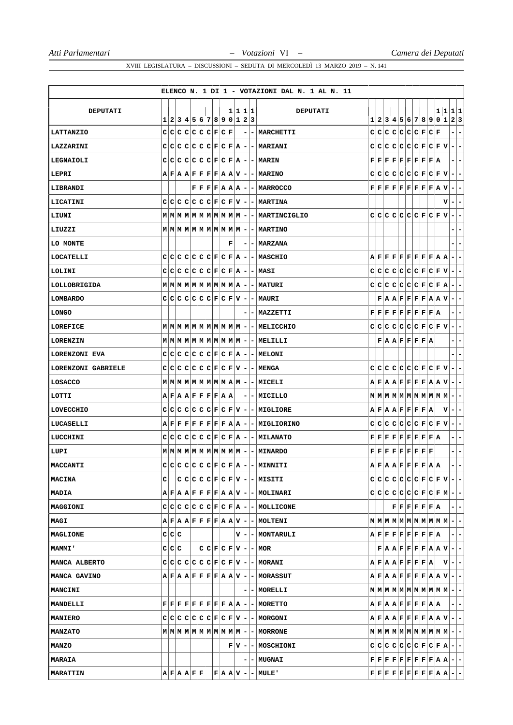|                      |       |             |  |                                                                                                                                                                                     |             |   |                          |         | ELENCO N. 1 DI 1 - VOTAZIONI DAL N. 1 AL N. 11         |  |  |                                                                                                                                                                                         |  |               |   |                                                                                                                                                                                                                          |
|----------------------|-------|-------------|--|-------------------------------------------------------------------------------------------------------------------------------------------------------------------------------------|-------------|---|--------------------------|---------|--------------------------------------------------------|--|--|-----------------------------------------------------------------------------------------------------------------------------------------------------------------------------------------|--|---------------|---|--------------------------------------------------------------------------------------------------------------------------------------------------------------------------------------------------------------------------|
| <b>DEPUTATI</b>      |       |             |  | 1 2 3 4 5 6 7 8 9 0 1 2 3                                                                                                                                                           |             |   |                          | 1 1 1 1 | DEPUTATI                                               |  |  |                                                                                                                                                                                         |  |               |   | 1 1 1 1<br>1 2 3 4 5 6 7 8 9 0 1 2 3                                                                                                                                                                                     |
| <b>LATTANZIO</b>     |       |             |  | $C[C[C]C[C]C]F[C]F$                                                                                                                                                                 |             |   |                          |         | -   MARCHETTI                                          |  |  | C C C C C C F                                                                                                                                                                           |  | $ {\bf C} $ F |   | -                                                                                                                                                                                                                        |
| LAZZARINI            |       |             |  | $C C C C C C F C F A -$                                                                                                                                                             |             |   |                          |         | -   MARIANI                                            |  |  | $C C C C C C C F C F V$                                                                                                                                                                 |  |               |   | $\blacksquare$<br>$\overline{\phantom{a}}$                                                                                                                                                                               |
| LEGNAIOLI            |       |             |  |                                                                                                                                                                                     |             |   |                          |         | $C C C C C C F C F A - MARIN$                          |  |  | $\mathbf{F} \,   \, \mathbf{F} \,   \, \mathbf{F} \,   \, \mathbf{F} \,   \, \mathbf{F} \,   \, \mathbf{F} \,   \, \mathbf{F} \,   \, \mathbf{F} \,   \, \mathbf{A}$                    |  |               |   | $\overline{\phantom{a}}$<br>$\overline{\phantom{0}}$                                                                                                                                                                     |
| LEPRI                |       |             |  |                                                                                                                                                                                     |             |   |                          |         | $A$ $F$ $A$ $A$ $F$ $F$ $F$ $F$ $A$ $A$ $V$ $  MARINO$ |  |  | $C C C C C C F C F V$                                                                                                                                                                   |  |               |   | $\sim$<br>$\overline{\phantom{a}}$                                                                                                                                                                                       |
| LIBRANDI             |       |             |  | $F$ $F$ $F$ $F$ $A$ $A$ $A$                                                                                                                                                         |             |   | ۰                        |         | - MARROCCO                                             |  |  | ${\bf F}[{\bf F}[{\bf F}] {\bf F}[{\bf F}] {\bf F}[{\bf F}] {\bf F}[{\bf F}] {\bf A}] {\bf V}$                                                                                          |  |               |   | $\blacksquare$<br>۰                                                                                                                                                                                                      |
| LICATINI             |       |             |  | $C C C C C C F C F V -$                                                                                                                                                             |             |   |                          |         | - MARTINA                                              |  |  |                                                                                                                                                                                         |  |               | v | $\overline{a}$<br>$\overline{\phantom{a}}$                                                                                                                                                                               |
| LIUNI                |       |             |  |                                                                                                                                                                                     |             |   |                          |         |                                                        |  |  | $C C C C C C F C F V$                                                                                                                                                                   |  |               |   | $\blacksquare$<br>$\overline{\phantom{a}}$                                                                                                                                                                               |
| LIUZZI               |       |             |  |                                                                                                                                                                                     |             |   |                          |         | - MARTINO                                              |  |  |                                                                                                                                                                                         |  |               |   | -                                                                                                                                                                                                                        |
| LO MONTE             |       |             |  |                                                                                                                                                                                     |             | F |                          |         | -   MARZANA                                            |  |  |                                                                                                                                                                                         |  |               |   | ۰                                                                                                                                                                                                                        |
| LOCATELLI            |       |             |  | $C[C[C]C[C]C[F]C[F]A]$                                                                                                                                                              |             |   | $\overline{\phantom{a}}$ |         | - MASCHIO                                              |  |  | $\mathbf{A} \,   \, \mathbf{F} \,   \, \mathbf{F} \,   \, \mathbf{F} \,   \, \mathbf{F} \,   \, \mathbf{F} \,   \, \mathbf{F} \,   \, \mathbf{F} \,   \, \mathbf{A} \,   \, \mathbf{A}$ |  |               |   | $\blacksquare$<br>$\blacksquare$                                                                                                                                                                                         |
| LOLINI               |       |             |  | $C C C C C C F C F A -$                                                                                                                                                             |             |   |                          |         | $ MASI$                                                |  |  | $C[C[C]C[C]C[E]E[E]V]$                                                                                                                                                                  |  |               |   | $\overline{a}$<br>$\overline{\phantom{a}}$                                                                                                                                                                               |
| LOLLOBRIGIDA         |       |             |  | $M$   $M$   $M$   $M$   $M$   $M$   $M$   $M$   $M$   $M$   $M$   $M$                                                                                                               |             |   | ٠                        |         | - MATURI                                               |  |  | $C[C[C]C[C]C]F[C]F[A]$                                                                                                                                                                  |  |               |   | ÷.<br>$\overline{\phantom{a}}$                                                                                                                                                                                           |
| <b>LOMBARDO</b>      |       |             |  | $C C C C C C F C F V -$                                                                                                                                                             |             |   |                          |         | -IMAURI                                                |  |  | $\mathbf{F}   \mathbf{A}   \mathbf{A}   \mathbf{F}   \mathbf{F}   \mathbf{F}   \mathbf{F}   \mathbf{A}   \mathbf{A}   \mathbf{V}  $                                                     |  |               |   | $-1-$                                                                                                                                                                                                                    |
| LONGO                |       |             |  |                                                                                                                                                                                     |             |   |                          |         | - MAZZETTI                                             |  |  | $\mathbf{F} \,   \, \mathbf{F} \,   \, \mathbf{F} \,   \, \mathbf{F} \,   \, \mathbf{F} \,   \, \mathbf{F} \,   \, \mathbf{F} \,   \, \mathbf{F} \,   \, \mathbf{A}$                    |  |               |   | $\overline{\phantom{a}}$<br>۰                                                                                                                                                                                            |
| LOREFICE             |       |             |  |                                                                                                                                                                                     |             |   |                          |         | -   MELICCHIO                                          |  |  | $C C C C C C C F C F V$                                                                                                                                                                 |  |               |   | Ξ.<br>-                                                                                                                                                                                                                  |
| LORENZIN             |       |             |  |                                                                                                                                                                                     |             |   |                          |         | - MELILLI                                              |  |  | F A A F F F F A                                                                                                                                                                         |  |               |   | $\overline{\phantom{a}}$<br>۰                                                                                                                                                                                            |
| <b>LORENZONI EVA</b> |       |             |  | $C C C C C C F C F A $                                                                                                                                                              |             |   |                          |         | $- - MELONI $                                          |  |  |                                                                                                                                                                                         |  |               |   | ۳                                                                                                                                                                                                                        |
| LORENZONI GABRIELE   |       |             |  | $C C C C C C C F C F V  -$                                                                                                                                                          |             |   |                          |         | -   MENGA                                              |  |  | $C C C C C C F C F V$                                                                                                                                                                   |  |               |   | ÷.<br>-                                                                                                                                                                                                                  |
| LOSACCO              |       |             |  |                                                                                                                                                                                     |             |   |                          |         | - MICELI                                               |  |  |                                                                                                                                                                                         |  |               |   | $A \,   \, \mathbf{F} \,   \, A \,   \, \mathbf{F} \,   \, \mathbf{F} \,   \, \mathbf{F} \,   \, \mathbf{F} \,   \, \mathbf{F} \,   \, A \,   \, \mathbf{V} \,   \, - \,   \, - \,$                                      |
| LOTTI                |       |             |  | $A \,   \, \mathbf{F} \,   \, A \,   \, \mathbf{F} \,   \, \mathbf{F} \,   \, \mathbf{F} \,   \, \mathbf{F} \,   \, A \,   \, A$                                                    |             |   | -                        |         | - IMICILLO                                             |  |  |                                                                                                                                                                                         |  |               |   | E.<br>H.                                                                                                                                                                                                                 |
| LOVECCHIO            |       |             |  | $C[C[C]C[C]C[F]C[F V]$                                                                                                                                                              |             |   | ٠                        |         | - MIGLIORE                                             |  |  | $A$ $F$ $A$ $A$ $F$ $F$ $F$ $F$ $A$                                                                                                                                                     |  |               | v | $\overline{\phantom{a}}$<br>-                                                                                                                                                                                            |
| LUCASELLI            |       |             |  | $A \,   \, \mathbf{F} \,   \, \mathbf{F} \,   \, \mathbf{F} \,   \, \mathbf{F} \,   \, \mathbf{F} \,   \, \mathbf{F} \,   \, \mathbf{F} \,   \, \mathbf{A} \,   \, \mathbf{A} \,  $ |             |   | ۰                        |         | - MIGLIORINO                                           |  |  | $C C C C C C C F C F V $                                                                                                                                                                |  |               |   | $\overline{a}$<br>$ - $                                                                                                                                                                                                  |
| LUCCHINI             | C C   |             |  | $C C C C F C F A $                                                                                                                                                                  |             |   | ٠                        |         | <b>- MILANATO</b>                                      |  |  | $\mathbf{F} \,   \, \mathbf{F} \,   \, \mathbf{F} \,   \, \mathbf{F} \,   \, \mathbf{F} \,   \, \mathbf{F} \,   \, \mathbf{F} \,   \, \mathbf{F} \,   \, \mathbf{A}$                    |  |               |   | -<br>۰                                                                                                                                                                                                                   |
| LUPI                 |       |             |  | $M$   $M$   $M$   $M$   $M$   $M$   $M$   $M$   $M$   $M$                                                                                                                           |             |   | ۰                        |         | - MINARDO                                              |  |  | $\mathbf{F} \,   \, \mathbf{F} \,   \, \mathbf{F} \,   \, \mathbf{F} \,   \, \mathbf{F} \,   \, \mathbf{F} \,   \, \mathbf{F} \,   \, \mathbf{F} \,   \, \mathbf{F}$                    |  |               |   | $\overline{\phantom{a}}$<br>- 1                                                                                                                                                                                          |
| MACCANTI             |       |             |  | $c c c c c c c F c F \mathbf{A} $                                                                                                                                                   |             |   |                          |         | - MINNITI                                              |  |  | $\mathbf{A} \mathbf{F} \mathbf{A} \mathbf{A} \mathbf{F} \mathbf{F} \mathbf{F} \mathbf{F} \mathbf{A} \mathbf{A} $                                                                        |  |               |   |                                                                                                                                                                                                                          |
| <b>MACINA</b>        | c     |             |  |                                                                                                                                                                                     |             |   |                          |         | $C C C C F C F V - MISITI$                             |  |  |                                                                                                                                                                                         |  |               |   | $C C C C C C F C F V - -$                                                                                                                                                                                                |
| <b>MADIA</b>         |       |             |  |                                                                                                                                                                                     |             |   |                          |         | $A F A A F F F F A A V - - MOLINARI$                   |  |  |                                                                                                                                                                                         |  |               |   | $C C C C C C F C F M - -$                                                                                                                                                                                                |
| <b>MAGGIONI</b>      |       |             |  |                                                                                                                                                                                     |             |   |                          |         | $C C C C C C F C F A - MOLLICONE$                      |  |  | $ {\bf F}  {\bf F}  {\bf F}  {\bf F}  {\bf F}  {\bf F}  {\bf A}  $                                                                                                                      |  |               |   | $ -$                                                                                                                                                                                                                     |
| MAGI                 |       |             |  |                                                                                                                                                                                     |             |   |                          |         | $A F A A F F F F A A V - - MOLTERI $                   |  |  |                                                                                                                                                                                         |  |               |   |                                                                                                                                                                                                                          |
| <b>MAGLIONE</b>      | C C C |             |  |                                                                                                                                                                                     |             |   |                          |         | V - - MONTARULI                                        |  |  | $\mathtt{A} \mathtt{F} \mathtt{F} \mathtt{F} \mathtt{F} \mathtt{F} \mathtt{F} \mathtt{F} \mathtt{A} $                                                                                   |  |               |   | $=$ $=$                                                                                                                                                                                                                  |
| <b>MAMMI'</b>        |       | C C C       |  |                                                                                                                                                                                     |             |   |                          |         | $C C F C F V $ - $-$ MOR                               |  |  |                                                                                                                                                                                         |  |               |   | $\mathbf{F}   \mathbf{A}   \mathbf{A}   \mathbf{F}   \mathbf{F}   \mathbf{F}   \mathbf{F}   \mathbf{A}   \mathbf{A}   \mathbf{V}   -   -$                                                                                |
| MANCA ALBERTO        |       |             |  |                                                                                                                                                                                     |             |   |                          |         | $C C C C C C F C F V - MORANT$                         |  |  | A F A A F F F F A                                                                                                                                                                       |  |               |   | $ \mathbf{v} - - $                                                                                                                                                                                                       |
| MANCA GAVINO         |       |             |  |                                                                                                                                                                                     |             |   |                          |         | $A F A A F F F F A A V - -$ MORASSUT                   |  |  |                                                                                                                                                                                         |  |               |   | $A \,   \, \mathbf{F} \,   \, \mathbf{A} \,   \, \mathbf{A} \,   \, \mathbf{F} \,   \, \mathbf{F} \,   \, \mathbf{F} \,   \, \mathbf{F} \,   \, \mathbf{A} \,   \, \mathbf{A} \,   \, \mathbf{V} \,   \, - \,   \, - \,$ |
| <b>MANCINI</b>       |       |             |  |                                                                                                                                                                                     |             |   |                          |         | - - MORELLI                                            |  |  |                                                                                                                                                                                         |  |               |   | $\mathbf{M} \mid \mathbf{M} \mid \mathbf{M} \mid \mathbf{M} \mid \mathbf{M} \mid \mathbf{M} \mid \mathbf{M} \mid \mathbf{M} \mid \mathbf{M} \mid \mathbf{M} \mid - \mid -$                                               |
| <b>MANDELLI</b>      |       |             |  |                                                                                                                                                                                     |             |   |                          |         | $F F F F F F F F F A A - - MORETTO $                   |  |  | $A \,   \, \mathbf{F} \,   \, A \,   \, \mathbf{F} \,   \, \mathbf{F} \,   \, \mathbf{F} \,   \, \mathbf{F} \,   \, A \,   \, A \,  $                                                   |  |               |   | $- -$                                                                                                                                                                                                                    |
| <b>MANIERO</b>       |       |             |  |                                                                                                                                                                                     |             |   |                          |         | $C C C C C C F C F V - - MORGONI $                     |  |  |                                                                                                                                                                                         |  |               |   | $\mathbf{A} \mathbf{F} \mathbf{A} \mathbf{A} \mathbf{F} \mathbf{F} \mathbf{F} \mathbf{F} \mathbf{A} \mathbf{A} \mathbf{V} \mathbf{I} - \mathbf{I}$                                                                       |
| <b>MANZATO</b>       |       |             |  |                                                                                                                                                                                     |             |   |                          |         |                                                        |  |  |                                                                                                                                                                                         |  |               |   |                                                                                                                                                                                                                          |
| <b>MANZO</b>         |       |             |  |                                                                                                                                                                                     |             |   |                          |         | $F V - $ MOSCHIONI                                     |  |  |                                                                                                                                                                                         |  |               |   | $C C C C C C F C F A - -$                                                                                                                                                                                                |
| <b>MARAIA</b>        |       |             |  |                                                                                                                                                                                     |             |   |                          |         | <b>- MUGNAI</b>                                        |  |  |                                                                                                                                                                                         |  |               |   | $\mathbf{F}\, \,\mathbf{F}\, \,\mathbf{F}\, \,\mathbf{F}\, \,\mathbf{F}\, \,\mathbf{F}\, \,\mathbf{F}\, \,\mathbf{F}\, \,\mathbf{F}\, \,\mathbf{A}\, \,\mathbf{A}\, \,\mathbf{-}\, \,\mathbf{-}\, $                      |
| <b>MARATTIN</b>      |       | A F A A F F |  |                                                                                                                                                                                     | $F A A V$ - |   |                          |         | - MULE'                                                |  |  |                                                                                                                                                                                         |  |               |   | $\mathbf{F} \,   \, \mathbf{F} \,   \, \mathbf{F} \,   \, \mathbf{F} \,   \, \mathbf{F} \,   \, \mathbf{F} \,   \, \mathbf{F} \,   \, \mathbf{F} \,   \, \mathbf{A} \,   \, \mathbf{A} \,   \, - \,   \, -$              |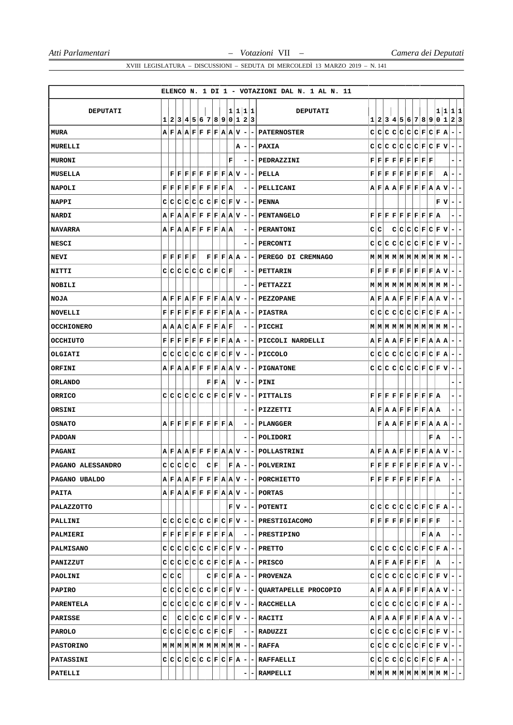| 1 1 1 1<br>DEPUTATI<br>1 1 1 1<br><b>DEPUTATI</b><br>1 2 3 4 5 6 7 8 9 0 1 2 3<br>1 2 3 4 5 6 7 8 9 0 1 2 3<br>$A \,   \, \mathbf{F} \,   \, A \,   \, \mathbf{A} \,   \, \mathbf{F} \,   \, \mathbf{F} \,   \, \mathbf{F} \,   \, \mathbf{F} \,   \, A \,   \, \mathbf{V} \,   \, -$<br>$C[C[C]C[C]C]F[C]F]A$<br>۰<br><b>MURA</b><br><b>-   PATERNOSTER</b><br>$\overline{\phantom{a}}$<br>C C C C C C F <br> C F V<br>$\overline{\phantom{a}}$<br>$\overline{\phantom{0}}$<br><b>PAXIA</b><br>MURELLI<br>A<br>۰<br>F<br>$\mathbf{F} \,   \, \mathbf{F} \,   \, \mathbf{F} \,   \, \mathbf{F} \,   \, \mathbf{F} \,   \, \mathbf{F} \,   \, \mathbf{F} \,   \, \mathbf{F} \,   \, \mathbf{F}$<br>MURONI<br>-<br>PEDRAZZINI<br>- 1<br>۰<br>-<br>$\mathbf{F} \,   \, \mathbf{F} \,   \, \mathbf{F} \,   \, \mathbf{F} \,   \, \mathbf{F} \,   \, \mathbf{F} \,   \, \mathbf{F} \,   \, \mathbf{R} \,   \, \mathbf{V} \,   \, -$<br>$\mathbf{F} \,   \, \mathbf{F} \,   \, \mathbf{F} \,   \, \mathbf{F} \,   \, \mathbf{F} \,   \, \mathbf{F} \,   \, \mathbf{F} \,   \, \mathbf{F}$<br>MUSELLA<br>F<br>А<br>PELLA<br>$\overline{\phantom{a}}$<br>۰<br>۰<br>$\mathbf{F} \,   \, \mathbf{F} \,   \, \mathbf{F} \,   \, \mathbf{F} \,   \, \mathbf{F} \,   \, \mathbf{F} \,   \, \mathbf{F} \,   \, \mathbf{F} \,   \, \mathbf{A}$<br>$A \,   \, \mathbf{F} \,   \, A \,   \, \mathbf{F} \,   \, \mathbf{F} \,   \, \mathbf{F} \,   \, \mathbf{F} \,   \, A \,   \, \mathbf{A} \,   \, \mathbf{V}$<br><b>NAPOLI</b><br>- PELLICANI<br>$\overline{\phantom{a}}$<br>۰<br><b>NAPPI</b><br>C[C[C]C[C]F[C]F[V]<br>FV<br>$\overline{\phantom{a}}$<br>-   PENNA<br>$\blacksquare$<br>۰<br>$ {\bf F}  {\bf F}  {\bf F}  {\bf F}  {\bf F}  {\bf F}  {\bf F}  {\bf A}$<br><b>NARDI</b><br>$A \,   \, \mathbf{F} \,   \, A \,   \, \mathbf{F} \,   \, \mathbf{F} \,   \, \mathbf{F} \,   \, \mathbf{F} \,   \, \mathbf{F} \,   \, A \,   \, \mathbf{A} \,   \, \mathbf{V} \,   \, -$<br>FF<br><b>PENTANGELO</b><br>۰<br>C C<br>C C C F C F V<br><b>NAVARRA</b><br>$A$ $F$ $A$ $A$ $F$ $F$ $F$ $F$ $A$ $A$<br><b>PERANTONI</b><br>$\blacksquare$<br>-<br>$\overline{\phantom{a}}$<br>۰<br>$C C C C C C F C F V $<br>E.<br>$\overline{ }$<br><b>NESCI</b><br>- PERCONTI<br>${\bf F} \,   \, {\bf F} \,   \, {\bf F} \,   \, {\bf F} \,   \, {\bf F}$<br> F F F A A <br>PEREGO DI CREMNAGO<br><b>NEVI</b><br>۰<br>-<br>$C C C C C C F C F$<br>$\mathbf{F} \,   \, \mathbf{F} \,   \, \mathbf{F} \,   \, \mathbf{F} \,   \, \mathbf{F} \,   \, \mathbf{F} \,   \, \mathbf{F} \,   \, \mathbf{F} \,   \, \mathbf{A} \,   \, \mathbf{V}$<br>NITTI<br>- PETTARIN<br>÷.<br>۰<br>-<br><b>NOBILI</b><br>-   PETTAZZI<br>$-1-$<br>$A$ $F$ $F$ $A$ $F$ $F$ $F$ $F$ $A$ $A$ $V$ $-$<br>$A \,   \, \mathbf{F} \,   \, A \,   \, \mathbf{F} \,   \, \mathbf{F} \,   \, \mathbf{F} \,   \, \mathbf{F} \,   \, \mathbf{F} \,   \, A \,   \, \mathbf{V}$<br><b>NOJA</b><br>-   PEZZOPANE<br>$\blacksquare$<br>۰ |  |  |  |  |  |  |  | ELENCO N. 1 DI 1 - VOTAZIONI DAL N. 1 AL N. 11 |  |  |  |  |  |  |
|---------------------------------------------------------------------------------------------------------------------------------------------------------------------------------------------------------------------------------------------------------------------------------------------------------------------------------------------------------------------------------------------------------------------------------------------------------------------------------------------------------------------------------------------------------------------------------------------------------------------------------------------------------------------------------------------------------------------------------------------------------------------------------------------------------------------------------------------------------------------------------------------------------------------------------------------------------------------------------------------------------------------------------------------------------------------------------------------------------------------------------------------------------------------------------------------------------------------------------------------------------------------------------------------------------------------------------------------------------------------------------------------------------------------------------------------------------------------------------------------------------------------------------------------------------------------------------------------------------------------------------------------------------------------------------------------------------------------------------------------------------------------------------------------------------------------------------------------------------------------------------------------------------------------------------------------------------------------------------------------------------------------------------------------------------------------------------------------------------------------------------------------------------------------------------------------------------------------------------------------------------------------------------------------------------------------------------------------------------------------------------------------------------------------------------------------------------------------------------------------------------------------------------------------------------------------------------------------------------------------------------------------------------------------------------------------------------------------------------------------------------------------------------------------------------------------------------------------------------------------------------------------------------------------------------------------------------------------------------|--|--|--|--|--|--|--|------------------------------------------------|--|--|--|--|--|--|
|                                                                                                                                                                                                                                                                                                                                                                                                                                                                                                                                                                                                                                                                                                                                                                                                                                                                                                                                                                                                                                                                                                                                                                                                                                                                                                                                                                                                                                                                                                                                                                                                                                                                                                                                                                                                                                                                                                                                                                                                                                                                                                                                                                                                                                                                                                                                                                                                                                                                                                                                                                                                                                                                                                                                                                                                                                                                                                                                                                                 |  |  |  |  |  |  |  |                                                |  |  |  |  |  |  |
|                                                                                                                                                                                                                                                                                                                                                                                                                                                                                                                                                                                                                                                                                                                                                                                                                                                                                                                                                                                                                                                                                                                                                                                                                                                                                                                                                                                                                                                                                                                                                                                                                                                                                                                                                                                                                                                                                                                                                                                                                                                                                                                                                                                                                                                                                                                                                                                                                                                                                                                                                                                                                                                                                                                                                                                                                                                                                                                                                                                 |  |  |  |  |  |  |  |                                                |  |  |  |  |  |  |
|                                                                                                                                                                                                                                                                                                                                                                                                                                                                                                                                                                                                                                                                                                                                                                                                                                                                                                                                                                                                                                                                                                                                                                                                                                                                                                                                                                                                                                                                                                                                                                                                                                                                                                                                                                                                                                                                                                                                                                                                                                                                                                                                                                                                                                                                                                                                                                                                                                                                                                                                                                                                                                                                                                                                                                                                                                                                                                                                                                                 |  |  |  |  |  |  |  |                                                |  |  |  |  |  |  |
|                                                                                                                                                                                                                                                                                                                                                                                                                                                                                                                                                                                                                                                                                                                                                                                                                                                                                                                                                                                                                                                                                                                                                                                                                                                                                                                                                                                                                                                                                                                                                                                                                                                                                                                                                                                                                                                                                                                                                                                                                                                                                                                                                                                                                                                                                                                                                                                                                                                                                                                                                                                                                                                                                                                                                                                                                                                                                                                                                                                 |  |  |  |  |  |  |  |                                                |  |  |  |  |  |  |
|                                                                                                                                                                                                                                                                                                                                                                                                                                                                                                                                                                                                                                                                                                                                                                                                                                                                                                                                                                                                                                                                                                                                                                                                                                                                                                                                                                                                                                                                                                                                                                                                                                                                                                                                                                                                                                                                                                                                                                                                                                                                                                                                                                                                                                                                                                                                                                                                                                                                                                                                                                                                                                                                                                                                                                                                                                                                                                                                                                                 |  |  |  |  |  |  |  |                                                |  |  |  |  |  |  |
|                                                                                                                                                                                                                                                                                                                                                                                                                                                                                                                                                                                                                                                                                                                                                                                                                                                                                                                                                                                                                                                                                                                                                                                                                                                                                                                                                                                                                                                                                                                                                                                                                                                                                                                                                                                                                                                                                                                                                                                                                                                                                                                                                                                                                                                                                                                                                                                                                                                                                                                                                                                                                                                                                                                                                                                                                                                                                                                                                                                 |  |  |  |  |  |  |  |                                                |  |  |  |  |  |  |
|                                                                                                                                                                                                                                                                                                                                                                                                                                                                                                                                                                                                                                                                                                                                                                                                                                                                                                                                                                                                                                                                                                                                                                                                                                                                                                                                                                                                                                                                                                                                                                                                                                                                                                                                                                                                                                                                                                                                                                                                                                                                                                                                                                                                                                                                                                                                                                                                                                                                                                                                                                                                                                                                                                                                                                                                                                                                                                                                                                                 |  |  |  |  |  |  |  |                                                |  |  |  |  |  |  |
|                                                                                                                                                                                                                                                                                                                                                                                                                                                                                                                                                                                                                                                                                                                                                                                                                                                                                                                                                                                                                                                                                                                                                                                                                                                                                                                                                                                                                                                                                                                                                                                                                                                                                                                                                                                                                                                                                                                                                                                                                                                                                                                                                                                                                                                                                                                                                                                                                                                                                                                                                                                                                                                                                                                                                                                                                                                                                                                                                                                 |  |  |  |  |  |  |  |                                                |  |  |  |  |  |  |
|                                                                                                                                                                                                                                                                                                                                                                                                                                                                                                                                                                                                                                                                                                                                                                                                                                                                                                                                                                                                                                                                                                                                                                                                                                                                                                                                                                                                                                                                                                                                                                                                                                                                                                                                                                                                                                                                                                                                                                                                                                                                                                                                                                                                                                                                                                                                                                                                                                                                                                                                                                                                                                                                                                                                                                                                                                                                                                                                                                                 |  |  |  |  |  |  |  |                                                |  |  |  |  |  |  |
|                                                                                                                                                                                                                                                                                                                                                                                                                                                                                                                                                                                                                                                                                                                                                                                                                                                                                                                                                                                                                                                                                                                                                                                                                                                                                                                                                                                                                                                                                                                                                                                                                                                                                                                                                                                                                                                                                                                                                                                                                                                                                                                                                                                                                                                                                                                                                                                                                                                                                                                                                                                                                                                                                                                                                                                                                                                                                                                                                                                 |  |  |  |  |  |  |  |                                                |  |  |  |  |  |  |
|                                                                                                                                                                                                                                                                                                                                                                                                                                                                                                                                                                                                                                                                                                                                                                                                                                                                                                                                                                                                                                                                                                                                                                                                                                                                                                                                                                                                                                                                                                                                                                                                                                                                                                                                                                                                                                                                                                                                                                                                                                                                                                                                                                                                                                                                                                                                                                                                                                                                                                                                                                                                                                                                                                                                                                                                                                                                                                                                                                                 |  |  |  |  |  |  |  |                                                |  |  |  |  |  |  |
|                                                                                                                                                                                                                                                                                                                                                                                                                                                                                                                                                                                                                                                                                                                                                                                                                                                                                                                                                                                                                                                                                                                                                                                                                                                                                                                                                                                                                                                                                                                                                                                                                                                                                                                                                                                                                                                                                                                                                                                                                                                                                                                                                                                                                                                                                                                                                                                                                                                                                                                                                                                                                                                                                                                                                                                                                                                                                                                                                                                 |  |  |  |  |  |  |  |                                                |  |  |  |  |  |  |
|                                                                                                                                                                                                                                                                                                                                                                                                                                                                                                                                                                                                                                                                                                                                                                                                                                                                                                                                                                                                                                                                                                                                                                                                                                                                                                                                                                                                                                                                                                                                                                                                                                                                                                                                                                                                                                                                                                                                                                                                                                                                                                                                                                                                                                                                                                                                                                                                                                                                                                                                                                                                                                                                                                                                                                                                                                                                                                                                                                                 |  |  |  |  |  |  |  |                                                |  |  |  |  |  |  |
|                                                                                                                                                                                                                                                                                                                                                                                                                                                                                                                                                                                                                                                                                                                                                                                                                                                                                                                                                                                                                                                                                                                                                                                                                                                                                                                                                                                                                                                                                                                                                                                                                                                                                                                                                                                                                                                                                                                                                                                                                                                                                                                                                                                                                                                                                                                                                                                                                                                                                                                                                                                                                                                                                                                                                                                                                                                                                                                                                                                 |  |  |  |  |  |  |  |                                                |  |  |  |  |  |  |
|                                                                                                                                                                                                                                                                                                                                                                                                                                                                                                                                                                                                                                                                                                                                                                                                                                                                                                                                                                                                                                                                                                                                                                                                                                                                                                                                                                                                                                                                                                                                                                                                                                                                                                                                                                                                                                                                                                                                                                                                                                                                                                                                                                                                                                                                                                                                                                                                                                                                                                                                                                                                                                                                                                                                                                                                                                                                                                                                                                                 |  |  |  |  |  |  |  |                                                |  |  |  |  |  |  |
| $\mathbf{F} \,   \, \mathbf{F} \,   \, \mathbf{F} \,   \, \mathbf{F} \,   \, \mathbf{F} \,   \, \mathbf{F} \,   \, \mathbf{F} \,   \, \mathbf{F} \,   \, \mathbf{A} \,   \, \mathbf{A} \,   \, -$<br>$C C C C C C F C F A$<br><b>NOVELLI</b><br>- PIASTRA<br>۰.<br>۰                                                                                                                                                                                                                                                                                                                                                                                                                                                                                                                                                                                                                                                                                                                                                                                                                                                                                                                                                                                                                                                                                                                                                                                                                                                                                                                                                                                                                                                                                                                                                                                                                                                                                                                                                                                                                                                                                                                                                                                                                                                                                                                                                                                                                                                                                                                                                                                                                                                                                                                                                                                                                                                                                                            |  |  |  |  |  |  |  |                                                |  |  |  |  |  |  |
| <b>OCCHIONERO</b><br>A A C A F F F A F<br>$\overline{\phantom{a}}$<br>- PICCHI<br>$\blacksquare$                                                                                                                                                                                                                                                                                                                                                                                                                                                                                                                                                                                                                                                                                                                                                                                                                                                                                                                                                                                                                                                                                                                                                                                                                                                                                                                                                                                                                                                                                                                                                                                                                                                                                                                                                                                                                                                                                                                                                                                                                                                                                                                                                                                                                                                                                                                                                                                                                                                                                                                                                                                                                                                                                                                                                                                                                                                                                |  |  |  |  |  |  |  |                                                |  |  |  |  |  |  |
| F<br>$ F F F F F F F A A - - PICCOLI$ NARDELLI<br>$A \,   \, \mathbf{F} \,   \, A \,   \, \mathbf{F} \,   \, \mathbf{F} \,   \, \mathbf{F} \,   \, \mathbf{F} \,   \, A \,   \, A \,   \, A$<br><b>OCCHIUTO</b><br>$\blacksquare$<br>H.                                                                                                                                                                                                                                                                                                                                                                                                                                                                                                                                                                                                                                                                                                                                                                                                                                                                                                                                                                                                                                                                                                                                                                                                                                                                                                                                                                                                                                                                                                                                                                                                                                                                                                                                                                                                                                                                                                                                                                                                                                                                                                                                                                                                                                                                                                                                                                                                                                                                                                                                                                                                                                                                                                                                         |  |  |  |  |  |  |  |                                                |  |  |  |  |  |  |
| $C C C C C C F C F V -$<br>$C C C C C C C F C F A$<br>OLGIATI<br>- PICCOLO<br>$\overline{\phantom{a}}$<br>۰                                                                                                                                                                                                                                                                                                                                                                                                                                                                                                                                                                                                                                                                                                                                                                                                                                                                                                                                                                                                                                                                                                                                                                                                                                                                                                                                                                                                                                                                                                                                                                                                                                                                                                                                                                                                                                                                                                                                                                                                                                                                                                                                                                                                                                                                                                                                                                                                                                                                                                                                                                                                                                                                                                                                                                                                                                                                     |  |  |  |  |  |  |  |                                                |  |  |  |  |  |  |
| $A \vert F \vert A \vert A \vert F \vert F \vert F \vert F \vert A \vert A \vert V \vert -$<br>$C C C C C C F C F V$<br>ORFINI<br>$\overline{\phantom{a}}$<br><b>PIGNATONE</b><br>۰                                                                                                                                                                                                                                                                                                                                                                                                                                                                                                                                                                                                                                                                                                                                                                                                                                                                                                                                                                                                                                                                                                                                                                                                                                                                                                                                                                                                                                                                                                                                                                                                                                                                                                                                                                                                                                                                                                                                                                                                                                                                                                                                                                                                                                                                                                                                                                                                                                                                                                                                                                                                                                                                                                                                                                                             |  |  |  |  |  |  |  |                                                |  |  |  |  |  |  |
| $\qquad \qquad \blacksquare$<br><b>ORLANDO</b><br>F F A<br>vl<br>$\overline{\phantom{a}}$<br><b>PINI</b><br>$\overline{\phantom{a}}$<br>۰.                                                                                                                                                                                                                                                                                                                                                                                                                                                                                                                                                                                                                                                                                                                                                                                                                                                                                                                                                                                                                                                                                                                                                                                                                                                                                                                                                                                                                                                                                                                                                                                                                                                                                                                                                                                                                                                                                                                                                                                                                                                                                                                                                                                                                                                                                                                                                                                                                                                                                                                                                                                                                                                                                                                                                                                                                                      |  |  |  |  |  |  |  |                                                |  |  |  |  |  |  |
| $C C C C C C F C F V -$<br>ORRICO<br>$\mathbf{F} \,   \, \mathbf{F} \,   \, \mathbf{F} \,   \, \mathbf{F} \,   \, \mathbf{F} \,   \, \mathbf{F} \,   \, \mathbf{F} \,   \, \mathbf{F} \,   \, \mathbf{A}$<br>PITTALIS<br>۳<br>۰                                                                                                                                                                                                                                                                                                                                                                                                                                                                                                                                                                                                                                                                                                                                                                                                                                                                                                                                                                                                                                                                                                                                                                                                                                                                                                                                                                                                                                                                                                                                                                                                                                                                                                                                                                                                                                                                                                                                                                                                                                                                                                                                                                                                                                                                                                                                                                                                                                                                                                                                                                                                                                                                                                                                                 |  |  |  |  |  |  |  |                                                |  |  |  |  |  |  |
| $A F A A F F F F A A$<br>ORSINI<br>PIZZETTI<br>-<br>۰                                                                                                                                                                                                                                                                                                                                                                                                                                                                                                                                                                                                                                                                                                                                                                                                                                                                                                                                                                                                                                                                                                                                                                                                                                                                                                                                                                                                                                                                                                                                                                                                                                                                                                                                                                                                                                                                                                                                                                                                                                                                                                                                                                                                                                                                                                                                                                                                                                                                                                                                                                                                                                                                                                                                                                                                                                                                                                                           |  |  |  |  |  |  |  |                                                |  |  |  |  |  |  |
| $A F F F F F F F F A$<br>$\mathbf{F}   \mathbf{A}   \mathbf{A}   \mathbf{F}   \mathbf{F}   \mathbf{F}   \mathbf{F}   \mathbf{A}   \mathbf{A}   \mathbf{A}$<br>$\overline{a}$<br><b>PLANGGER</b><br>$\overline{\phantom{a}}$<br><b>OSNATO</b><br>$\overline{\phantom{0}}$<br>÷.                                                                                                                                                                                                                                                                                                                                                                                                                                                                                                                                                                                                                                                                                                                                                                                                                                                                                                                                                                                                                                                                                                                                                                                                                                                                                                                                                                                                                                                                                                                                                                                                                                                                                                                                                                                                                                                                                                                                                                                                                                                                                                                                                                                                                                                                                                                                                                                                                                                                                                                                                                                                                                                                                                  |  |  |  |  |  |  |  |                                                |  |  |  |  |  |  |
| F A<br><b>PADOAN</b><br>- 1<br>  POLIDORI<br>- 1<br>$\overline{\phantom{a}}$                                                                                                                                                                                                                                                                                                                                                                                                                                                                                                                                                                                                                                                                                                                                                                                                                                                                                                                                                                                                                                                                                                                                                                                                                                                                                                                                                                                                                                                                                                                                                                                                                                                                                                                                                                                                                                                                                                                                                                                                                                                                                                                                                                                                                                                                                                                                                                                                                                                                                                                                                                                                                                                                                                                                                                                                                                                                                                    |  |  |  |  |  |  |  |                                                |  |  |  |  |  |  |
| $A \,   \, \mathbf{F} \,   \, \mathbf{A} \,   \, \mathbf{A} \,   \, \mathbf{F} \,   \, \mathbf{F} \,   \, \mathbf{F} \,   \, \mathbf{F} \,   \, \mathbf{A} \,   \, \mathbf{A} \,   \, \mathbf{V} \,   \, - \,  $<br>$A \,   \, \mathbf{F} \,   \, A \,   \, \mathbf{F} \,   \, \mathbf{F} \,   \, \mathbf{F} \,   \, \mathbf{F} \,   \, A \,   \, \mathbf{A} \,   \, \mathbf{V}$<br>PAGANI<br>- POLLASTRINI                                                                                                                                                                                                                                                                                                                                                                                                                                                                                                                                                                                                                                                                                                                                                                                                                                                                                                                                                                                                                                                                                                                                                                                                                                                                                                                                                                                                                                                                                                                                                                                                                                                                                                                                                                                                                                                                                                                                                                                                                                                                                                                                                                                                                                                                                                                                                                                                                                                                                                                                                                     |  |  |  |  |  |  |  |                                                |  |  |  |  |  |  |
| c c c c <br> c <br>$ {\tt C} {\tt F} $<br>$ \mathbf{F} \mathbf{A} $<br>$-$ - POLVERINI<br>$\mathbf{F} \,   \, \mathbf{F} \,   \, \mathbf{F} \,   \, \mathbf{F} \,   \, \mathbf{F} \,   \, \mathbf{F} \,   \, \mathbf{F} \,   \, \mathbf{F} \,   \, \mathbf{A} \,   \, \mathbf{V} \,  $<br>PAGANO ALESSANDRO<br>$-1-$                                                                                                                                                                                                                                                                                                                                                                                                                                                                                                                                                                                                                                                                                                                                                                                                                                                                                                                                                                                                                                                                                                                                                                                                                                                                                                                                                                                                                                                                                                                                                                                                                                                                                                                                                                                                                                                                                                                                                                                                                                                                                                                                                                                                                                                                                                                                                                                                                                                                                                                                                                                                                                                            |  |  |  |  |  |  |  |                                                |  |  |  |  |  |  |
| $A$ $F$ $A$ $A$ $F$ $F$ $F$ $F$ $A$ $A$ $V$ $  PORCHIETTO$<br>${\bf F}[{\bf F}[{\bf F}] {\bf F}[{\bf F}] {\bf F}[{\bf F}] {\bf F}[{\bf F}] {\bf A}$<br>$ -$<br>PAGANO UBALDO                                                                                                                                                                                                                                                                                                                                                                                                                                                                                                                                                                                                                                                                                                                                                                                                                                                                                                                                                                                                                                                                                                                                                                                                                                                                                                                                                                                                                                                                                                                                                                                                                                                                                                                                                                                                                                                                                                                                                                                                                                                                                                                                                                                                                                                                                                                                                                                                                                                                                                                                                                                                                                                                                                                                                                                                    |  |  |  |  |  |  |  |                                                |  |  |  |  |  |  |
| $A F A A F F F F A A V - -$ PORTAS<br>$- -$<br><b>PAITA</b>                                                                                                                                                                                                                                                                                                                                                                                                                                                                                                                                                                                                                                                                                                                                                                                                                                                                                                                                                                                                                                                                                                                                                                                                                                                                                                                                                                                                                                                                                                                                                                                                                                                                                                                                                                                                                                                                                                                                                                                                                                                                                                                                                                                                                                                                                                                                                                                                                                                                                                                                                                                                                                                                                                                                                                                                                                                                                                                     |  |  |  |  |  |  |  |                                                |  |  |  |  |  |  |
| $C[C[C]C[C]C[F]C[F]A]$<br>$ F V - $ - POTENTI<br>$-1-$<br><b>PALAZZOTTO</b>                                                                                                                                                                                                                                                                                                                                                                                                                                                                                                                                                                                                                                                                                                                                                                                                                                                                                                                                                                                                                                                                                                                                                                                                                                                                                                                                                                                                                                                                                                                                                                                                                                                                                                                                                                                                                                                                                                                                                                                                                                                                                                                                                                                                                                                                                                                                                                                                                                                                                                                                                                                                                                                                                                                                                                                                                                                                                                     |  |  |  |  |  |  |  |                                                |  |  |  |  |  |  |
| $C C C C C C F C F V - PRESTIGIACOMO$<br>$\mathbf{F} \,   \, \mathbf{F} \,   \, \mathbf{F} \,   \, \mathbf{F} \,   \, \mathbf{F} \,   \, \mathbf{F} \,   \, \mathbf{F} \,   \, \mathbf{F} \,   \, \mathbf{F} \,   \, \mathbf{F}$<br>$- -$<br>PALLINI                                                                                                                                                                                                                                                                                                                                                                                                                                                                                                                                                                                                                                                                                                                                                                                                                                                                                                                                                                                                                                                                                                                                                                                                                                                                                                                                                                                                                                                                                                                                                                                                                                                                                                                                                                                                                                                                                                                                                                                                                                                                                                                                                                                                                                                                                                                                                                                                                                                                                                                                                                                                                                                                                                                            |  |  |  |  |  |  |  |                                                |  |  |  |  |  |  |
| $\mathbf{F} \,   \, \mathbf{F} \,   \, \mathbf{F} \,   \, \mathbf{F} \,   \, \mathbf{F} \,   \, \mathbf{F} \,   \, \mathbf{F} \,   \, \mathbf{F} \,   \, \mathbf{A} \,   \quad$<br>$ - $ - PRESTIPINO<br>F A A <br>$- -$<br><b>PALMIERI</b>                                                                                                                                                                                                                                                                                                                                                                                                                                                                                                                                                                                                                                                                                                                                                                                                                                                                                                                                                                                                                                                                                                                                                                                                                                                                                                                                                                                                                                                                                                                                                                                                                                                                                                                                                                                                                                                                                                                                                                                                                                                                                                                                                                                                                                                                                                                                                                                                                                                                                                                                                                                                                                                                                                                                     |  |  |  |  |  |  |  |                                                |  |  |  |  |  |  |
| $C C C C C C F C F V - -$ PRETTO<br>$C C C C C C F C F A - -$<br><b>PALMISANO</b>                                                                                                                                                                                                                                                                                                                                                                                                                                                                                                                                                                                                                                                                                                                                                                                                                                                                                                                                                                                                                                                                                                                                                                                                                                                                                                                                                                                                                                                                                                                                                                                                                                                                                                                                                                                                                                                                                                                                                                                                                                                                                                                                                                                                                                                                                                                                                                                                                                                                                                                                                                                                                                                                                                                                                                                                                                                                                               |  |  |  |  |  |  |  |                                                |  |  |  |  |  |  |
| $C C C C C C F C F A - -PRLSCO$<br>$\mathbf{A} \mathbf{F} \mathbf{F} \mathbf{A} \mathbf{F} \mathbf{F} \mathbf{F} \mathbf{F} $<br> A <br>$- -$<br><b>PANIZZUT</b>                                                                                                                                                                                                                                                                                                                                                                                                                                                                                                                                                                                                                                                                                                                                                                                                                                                                                                                                                                                                                                                                                                                                                                                                                                                                                                                                                                                                                                                                                                                                                                                                                                                                                                                                                                                                                                                                                                                                                                                                                                                                                                                                                                                                                                                                                                                                                                                                                                                                                                                                                                                                                                                                                                                                                                                                                |  |  |  |  |  |  |  |                                                |  |  |  |  |  |  |
| C C C <br>$C F C F A - - PROVENZA $<br>$C C C C C C F C F V - -$<br>PAOLINI                                                                                                                                                                                                                                                                                                                                                                                                                                                                                                                                                                                                                                                                                                                                                                                                                                                                                                                                                                                                                                                                                                                                                                                                                                                                                                                                                                                                                                                                                                                                                                                                                                                                                                                                                                                                                                                                                                                                                                                                                                                                                                                                                                                                                                                                                                                                                                                                                                                                                                                                                                                                                                                                                                                                                                                                                                                                                                     |  |  |  |  |  |  |  |                                                |  |  |  |  |  |  |
| $C C C C C C F C F V - QUARTAPELLE$ PROCOPIO<br>$\mathbf{A} \mathbf{F} \mathbf{A} \mathbf{A} \mathbf{F} \mathbf{F} \mathbf{F} \mathbf{F} \mathbf{A} \mathbf{A} \mathbf{V} \mathbf{I} - \mathbf{I}$<br>PAPIRO                                                                                                                                                                                                                                                                                                                                                                                                                                                                                                                                                                                                                                                                                                                                                                                                                                                                                                                                                                                                                                                                                                                                                                                                                                                                                                                                                                                                                                                                                                                                                                                                                                                                                                                                                                                                                                                                                                                                                                                                                                                                                                                                                                                                                                                                                                                                                                                                                                                                                                                                                                                                                                                                                                                                                                    |  |  |  |  |  |  |  |                                                |  |  |  |  |  |  |
| $C C C C C C F C F A - -$<br>$C C C C C C F C F V - - RACCHELLA $<br>PARENTELA                                                                                                                                                                                                                                                                                                                                                                                                                                                                                                                                                                                                                                                                                                                                                                                                                                                                                                                                                                                                                                                                                                                                                                                                                                                                                                                                                                                                                                                                                                                                                                                                                                                                                                                                                                                                                                                                                                                                                                                                                                                                                                                                                                                                                                                                                                                                                                                                                                                                                                                                                                                                                                                                                                                                                                                                                                                                                                  |  |  |  |  |  |  |  |                                                |  |  |  |  |  |  |
| $A \,   \, \mathbf{F} \,   \, \mathbf{A} \,   \, \mathbf{A} \,   \, \mathbf{F} \,   \, \mathbf{F} \,   \, \mathbf{F} \,   \, \mathbf{F} \,   \, \mathbf{A} \,   \, \mathbf{A} \,   \, \mathbf{V} \,   \, - \,   \, - \,  $<br>с<br>$C C C C F C F V - F ACITI$<br>PARISSE                                                                                                                                                                                                                                                                                                                                                                                                                                                                                                                                                                                                                                                                                                                                                                                                                                                                                                                                                                                                                                                                                                                                                                                                                                                                                                                                                                                                                                                                                                                                                                                                                                                                                                                                                                                                                                                                                                                                                                                                                                                                                                                                                                                                                                                                                                                                                                                                                                                                                                                                                                                                                                                                                                       |  |  |  |  |  |  |  |                                                |  |  |  |  |  |  |
| $\mathbf{C} \vert \mathbf{C} \vert \mathbf{C} \vert \mathbf{C} \vert \mathbf{C} \vert \mathbf{C} \vert \mathbf{F} \vert \mathbf{C} \vert \mathbf{F} \vert$<br>$C C C C C C F C F V - -$<br>$ - $ - RADUZZI<br><b>PAROLO</b>                                                                                                                                                                                                                                                                                                                                                                                                                                                                                                                                                                                                                                                                                                                                                                                                                                                                                                                                                                                                                                                                                                                                                                                                                                                                                                                                                                                                                                                                                                                                                                                                                                                                                                                                                                                                                                                                                                                                                                                                                                                                                                                                                                                                                                                                                                                                                                                                                                                                                                                                                                                                                                                                                                                                                     |  |  |  |  |  |  |  |                                                |  |  |  |  |  |  |
| $C C C C C C F C F V - -$<br><b>PASTORINO</b>                                                                                                                                                                                                                                                                                                                                                                                                                                                                                                                                                                                                                                                                                                                                                                                                                                                                                                                                                                                                                                                                                                                                                                                                                                                                                                                                                                                                                                                                                                                                                                                                                                                                                                                                                                                                                                                                                                                                                                                                                                                                                                                                                                                                                                                                                                                                                                                                                                                                                                                                                                                                                                                                                                                                                                                                                                                                                                                                   |  |  |  |  |  |  |  |                                                |  |  |  |  |  |  |
| $C C C C C C F C F A - - RAFFAELLI $<br>$c c c c c c c F c F \mathbf{A} - - $<br><b>PATASSINI</b>                                                                                                                                                                                                                                                                                                                                                                                                                                                                                                                                                                                                                                                                                                                                                                                                                                                                                                                                                                                                                                                                                                                                                                                                                                                                                                                                                                                                                                                                                                                                                                                                                                                                                                                                                                                                                                                                                                                                                                                                                                                                                                                                                                                                                                                                                                                                                                                                                                                                                                                                                                                                                                                                                                                                                                                                                                                                               |  |  |  |  |  |  |  |                                                |  |  |  |  |  |  |
| PATELLI<br>$\mathbf{M} \mathbf{M} \mathbf{M} \mathbf{M} \mathbf{M} \mathbf{M} \mathbf{M} \mathbf{M} \mathbf{M} \mathbf{M} - -$<br>- RAMPELLI                                                                                                                                                                                                                                                                                                                                                                                                                                                                                                                                                                                                                                                                                                                                                                                                                                                                                                                                                                                                                                                                                                                                                                                                                                                                                                                                                                                                                                                                                                                                                                                                                                                                                                                                                                                                                                                                                                                                                                                                                                                                                                                                                                                                                                                                                                                                                                                                                                                                                                                                                                                                                                                                                                                                                                                                                                    |  |  |  |  |  |  |  |                                                |  |  |  |  |  |  |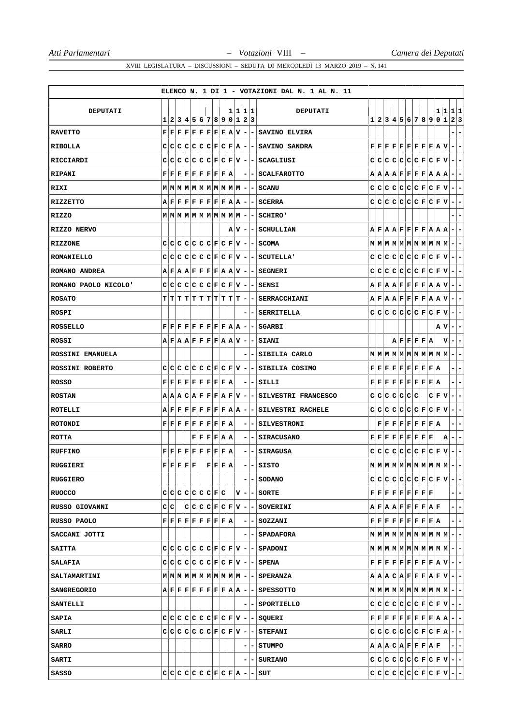|                        |   |     |                                                                                |  |                                                                                                                                                                                                   |  |     |                          |                          | ELENCO N. 1 DI 1 - VOTAZIONI DAL N. 1 AL N. 11         |     |   |  |                                                                                                                                                                                         |   |       |                                                                                                                                                                                                                  |
|------------------------|---|-----|--------------------------------------------------------------------------------|--|---------------------------------------------------------------------------------------------------------------------------------------------------------------------------------------------------|--|-----|--------------------------|--------------------------|--------------------------------------------------------|-----|---|--|-----------------------------------------------------------------------------------------------------------------------------------------------------------------------------------------|---|-------|------------------------------------------------------------------------------------------------------------------------------------------------------------------------------------------------------------------|
|                        |   |     |                                                                                |  |                                                                                                                                                                                                   |  |     |                          |                          |                                                        |     |   |  |                                                                                                                                                                                         |   |       |                                                                                                                                                                                                                  |
| <b>DEPUTATI</b>        | 1 |     |                                                                                |  | 2 3 4 5 6 7 8 9 0 1 2 3                                                                                                                                                                           |  |     |                          | 1 1 1 1                  | <b>DEPUTATI</b>                                        |     |   |  |                                                                                                                                                                                         |   |       | 1 1 1 1<br>1 2 3 4 5 6 7 8 9 0 1 2 3                                                                                                                                                                             |
| <b>RAVETTO</b>         |   |     |                                                                                |  | $\mathbf{F} \,   \, \mathbf{F} \,   \, \mathbf{F} \,   \, \mathbf{F} \,   \, \mathbf{F} \,   \, \mathbf{F} \,   \, \mathbf{F} \,   \, \mathbf{F} \,   \, \mathbf{A} \,   \, \mathbf{V} \,   \, -$ |  |     |                          |                          | - SAVINO ELVIRA                                        |     |   |  |                                                                                                                                                                                         |   |       |                                                                                                                                                                                                                  |
| RIBOLLA                |   |     |                                                                                |  | $C C C C C C C F C F A -$                                                                                                                                                                         |  |     |                          |                          | - SAVINO SANDRA                                        |     |   |  | $\mathbf{F} \,   \, \mathbf{F} \,   \, \mathbf{F} \,   \, \mathbf{F} \,   \, \mathbf{F} \,   \, \mathbf{F} \,   \, \mathbf{F} \,   \, \mathbf{F} \,   \, \mathbf{A} \,   \, \mathbf{V}$ |   |       | $\blacksquare$<br>۰                                                                                                                                                                                              |
| RICCIARDI              |   |     |                                                                                |  |                                                                                                                                                                                                   |  |     |                          |                          | $C C C C C C F C F V - SCAGLIUST$                      |     |   |  |                                                                                                                                                                                         |   |       | $C C C C C C F C F V -$                                                                                                                                                                                          |
| <b>RIPANI</b>          |   |     |                                                                                |  | $\mathbf{F} \,   \, \mathbf{F} \,   \, \mathbf{F} \,   \, \mathbf{F} \,   \, \mathbf{F} \,   \, \mathbf{F} \,   \, \mathbf{F} \,   \, \mathbf{F} \,   \, \mathbf{A}$                              |  |     | ۰                        |                          | - I SCALFAROTTO                                        |     |   |  | $A A A B F F F F A A A $                                                                                                                                                                |   |       | ۰<br>н.                                                                                                                                                                                                          |
| RIXI                   |   |     |                                                                                |  | $\mathbf{M}   \mathbf{M}   \mathbf{M}   \mathbf{M}   \mathbf{M}   \mathbf{M}   \mathbf{M}   \mathbf{M}   \mathbf{M}   \mathbf{M}   -$                                                             |  |     |                          |                          | - SCANU                                                |     |   |  | $C C C C C C F C F V $                                                                                                                                                                  |   |       | E.<br>٠                                                                                                                                                                                                          |
| RIZZETTO               |   |     |                                                                                |  | $A \,   \, \mathbf{F} \,   \, \mathbf{F} \,   \, \mathbf{F} \,   \, \mathbf{F} \,   \, \mathbf{F} \,   \, \mathbf{F} \,   \, \mathbf{F} \,   \, \mathbf{A} \,   \, \mathbf{A} \,   \, -$          |  |     |                          |                          | - SCERRA                                               |     |   |  | $C C C C C C C F C F V -$                                                                                                                                                               |   |       | $\blacksquare$                                                                                                                                                                                                   |
| RIZZO                  |   |     |                                                                                |  |                                                                                                                                                                                                   |  |     |                          |                          | - I SCHIRO '                                           |     |   |  |                                                                                                                                                                                         |   |       | ۰                                                                                                                                                                                                                |
| RIZZO NERVO            |   |     |                                                                                |  |                                                                                                                                                                                                   |  | A V | $\overline{\phantom{a}}$ |                          | <b>- SCHULLIAN</b>                                     |     |   |  | $A \,   \, \mathbf{F} \,   \, A \,   \, \mathbf{F} \,   \, \mathbf{F} \,   \, \mathbf{F} \,   \, \mathbf{F} \,   \, A \,   \, A \,   \, A$                                              |   |       | ۰                                                                                                                                                                                                                |
| <b>RIZZONE</b>         |   |     |                                                                                |  | $C C C C C C F C F V -$                                                                                                                                                                           |  |     |                          |                          | - SCOMA                                                |     |   |  |                                                                                                                                                                                         |   |       | ٠                                                                                                                                                                                                                |
| <b>ROMANIELLO</b>      |   |     |                                                                                |  | $C[C[C]C[C]E[C]F[C]F V] -$                                                                                                                                                                        |  |     |                          |                          | - SCUTELLA'                                            |     |   |  |                                                                                                                                                                                         |   |       | $C C C C C C F C F V - -$                                                                                                                                                                                        |
| ROMANO ANDREA          |   |     |                                                                                |  | $A$ $F$ $A$ $A$ $F$ $F$ $F$ $F$ $A$ $A$ $V$ $-$                                                                                                                                                   |  |     |                          |                          | - SEGNERI                                              |     |   |  | $C[C[C]C[C]C[E]E[Y]$                                                                                                                                                                    |   |       | $\sim$<br>$\overline{\phantom{a}}$                                                                                                                                                                               |
| ROMANO PAOLO NICOLO'   |   |     |                                                                                |  | C C C C C C F C F V                                                                                                                                                                               |  |     | ۰                        |                          | -ISENSI                                                |     |   |  | $A \,   \, \mathbf{F} \,   \, A \,   \, \mathbf{F} \,   \, \mathbf{F} \,   \, \mathbf{F} \,   \, \mathbf{F} \,   \, A \,   \, \mathbf{A} \,   \, \mathbf{V} \,  $                       |   |       | ÷.                                                                                                                                                                                                               |
| <b>ROSATO</b>          |   |     |                                                                                |  | $T[T T T T T T T T T T$                                                                                                                                                                           |  |     | $\overline{\phantom{a}}$ |                          | <b>- SERRACCHIANI</b>                                  |     |   |  |                                                                                                                                                                                         |   |       | $A \,   \, \mathbf{F} \,   \, A \,   \, \mathbf{F} \,   \, \mathbf{F} \,   \, \mathbf{F} \,   \, \mathbf{F} \,   \, \mathbf{F} \,   \, A \,   \, \mathbf{V} \,   - \,   - \,$                                    |
| ROSPI                  |   |     |                                                                                |  |                                                                                                                                                                                                   |  |     |                          |                          | - SERRITELLA                                           |     |   |  | $C[C[C]C[C]C[F]C[F V]-]$                                                                                                                                                                |   |       | ۰                                                                                                                                                                                                                |
| <b>ROSSELLO</b>        |   |     |                                                                                |  | $\mathbf{F} \,   \, \mathbf{F} \,   \, \mathbf{F} \,   \, \mathbf{F} \,   \, \mathbf{F} \,   \, \mathbf{F} \,   \, \mathbf{F} \,   \, \mathbf{F} \,   \, \mathbf{A} \,   \, \mathbf{A} \,   \, -$ |  |     |                          |                          | - SGARBI                                               |     |   |  |                                                                                                                                                                                         |   | A V   | $\blacksquare$<br>۰                                                                                                                                                                                              |
| ROSSI                  |   |     |                                                                                |  | $A \,   \, \mathbf{F} \,   \, A \,   \, \mathbf{A} \,   \, \mathbf{F} \,   \, \mathbf{F} \,   \, \mathbf{F} \,   \, \mathbf{F} \,   \, A \,   \, \mathbf{A} \,   \, \mathbf{V} \,   \, -$         |  |     |                          |                          | - SIANI                                                |     |   |  | A F F F F A                                                                                                                                                                             |   | v     | $\blacksquare$<br>E.                                                                                                                                                                                             |
| ROSSINI EMANUELA       |   |     |                                                                                |  |                                                                                                                                                                                                   |  |     |                          |                          | - SIBILIA CARLO                                        |     |   |  | $M$   $M$   $M$   $M$   $M$   $M$   $M$   $M$   $M$   $M$                                                                                                                               |   |       | ۰<br>$\overline{\phantom{a}}$                                                                                                                                                                                    |
| <b>ROSSINI ROBERTO</b> |   |     |                                                                                |  | $C C C C C C C F C F V -$                                                                                                                                                                         |  |     |                          |                          | - SIBILIA COSIMO                                       |     |   |  | $\mathbf{F} \,   \, \mathbf{F} \,   \, \mathbf{F} \,   \, \mathbf{F} \,   \, \mathbf{F} \,   \, \mathbf{F} \,   \, \mathbf{F} \,   \, \mathbf{F} \,   \, \mathbf{A}$                    |   |       | ۰                                                                                                                                                                                                                |
| ROSSO                  |   |     |                                                                                |  | $\mathbf{F} \,   \, \mathbf{F} \,   \, \mathbf{F} \,   \, \mathbf{F} \,   \, \mathbf{F} \,   \, \mathbf{F} \,   \, \mathbf{F} \,   \, \mathbf{F} \,   \, \mathbf{A}$                              |  |     |                          |                          | -ISILLI                                                |     |   |  | $\mathbf{F} \,   \, \mathbf{F} \,   \, \mathbf{F} \,   \, \mathbf{F} \,   \, \mathbf{F} \,   \, \mathbf{F} \,   \, \mathbf{F} \,   \, \mathbf{F} \,   \, \mathbf{A}$                    |   |       | $\overline{\phantom{a}}$                                                                                                                                                                                         |
| <b>ROSTAN</b>          |   |     |                                                                                |  | A A B C A F F F A F V                                                                                                                                                                             |  |     | ٠                        |                          | - SILVESTRI FRANCESCO                                  | C I | с |  | $ {\mathbf C} {\mathbf C} {\mathbf C} {\mathbf C}$                                                                                                                                      |   | C F V | -<br>۰.                                                                                                                                                                                                          |
| ROTELLI                |   |     |                                                                                |  | $A \,   \, {\bf F} \,   \, {\bf F} \,   \, {\bf F} \,   \, {\bf F} \,   \, {\bf F} \,   \, {\bf F} \,   \, {\bf F} \,   \, {\bf A} \,   \, {\bf A}$                                               |  |     | ۰                        |                          | - SILVESTRI RACHELE                                    |     |   |  | $C C C C C C F C F V$                                                                                                                                                                   |   |       | $\blacksquare$<br>۰                                                                                                                                                                                              |
| ROTONDI                |   |     |                                                                                |  | $\mathbf{F} \,   \, \mathbf{F} \,   \, \mathbf{F} \,   \, \mathbf{F} \,   \, \mathbf{F} \,   \, \mathbf{F} \,   \, \mathbf{F} \,   \, \mathbf{F} \,   \, \mathbf{A}$                              |  |     |                          |                          | <b>- SILVESTRONI</b>                                   |     |   |  | $\mathbf{F} \,   \, \mathbf{F} \,   \, \mathbf{F} \,   \, \mathbf{F} \,   \, \mathbf{F} \,   \, \mathbf{F} \,   \, \mathbf{F} \,   \, \mathbf{R}$                                       |   |       | ۰<br>Ξ.                                                                                                                                                                                                          |
| ROTTA                  |   |     |                                                                                |  | F F F F A A                                                                                                                                                                                       |  |     | -                        | $\overline{\phantom{a}}$ | <b>SIRACUSANO</b>                                      |     |   |  | ${\bf F}[{\bf F}[{\bf F}[{\bf F}] {\bf F}] {\bf F}[{\bf F}]$                                                                                                                            | F | А     | ۰<br>۰.                                                                                                                                                                                                          |
| <b>RUFFINO</b>         |   |     |                                                                                |  | $\mathbf{F} \,   \, \mathbf{F} \,   \, \mathbf{F} \,   \, \mathbf{F} \,   \, \mathbf{F} \,   \, \mathbf{F} \,   \, \mathbf{F} \,   \, \mathbf{F} \,   \, \mathbf{A}$                              |  |     | -                        |                          | - SIRAGUSA                                             |     |   |  | $C C C C C C C F C F V $                                                                                                                                                                |   |       | ÷.<br>٠                                                                                                                                                                                                          |
| RUGGIERI               |   |     | ${\bf F} \,   \, {\bf F} \,   \, {\bf F} \,   \, {\bf F} \,   \, {\bf F} \,  $ |  | F F F A                                                                                                                                                                                           |  |     |                          | - 1                      | SISTO                                                  |     |   |  |                                                                                                                                                                                         |   |       |                                                                                                                                                                                                                  |
| <b>RUGGIERO</b>        |   |     |                                                                                |  |                                                                                                                                                                                                   |  |     |                          |                          | - SODANO                                               |     |   |  |                                                                                                                                                                                         |   |       | $C[C[C]C[C]E[C]F[C]F[V]-]-$                                                                                                                                                                                      |
| <b>RUOCCO</b>          |   |     |                                                                                |  | $C C C C C C C F C $                                                                                                                                                                              |  |     |                          |                          |                                                        |     |   |  | $\mathbf{F} \,   \, \mathbf{F} \,   \, \mathbf{F} \,   \, \mathbf{F} \,   \, \mathbf{F} \,   \, \mathbf{F} \,   \, \mathbf{F} \,   \, \mathbf{F} \,   \, \mathbf{F}$                    |   |       | -1-                                                                                                                                                                                                              |
| RUSSO GIOVANNI         |   | c∣c |                                                                                |  |                                                                                                                                                                                                   |  |     |                          |                          | $C C C F C F V $ - $\vert$ - SOVERINI                  |     |   |  | ${\bf A}   {\bf F}   {\bf A}   {\bf A}   {\bf F}   {\bf F}   {\bf F}   {\bf F}   {\bf A}   {\bf F}  $                                                                                   |   |       | $ -$                                                                                                                                                                                                             |
| RUSSO PAOLO            |   |     |                                                                                |  | $\mathbf{F} \,   \, \mathbf{F} \,   \, \mathbf{F} \,   \, \mathbf{F} \,   \, \mathbf{F} \,   \, \mathbf{F} \,   \, \mathbf{F} \,   \, \mathbf{F} \,   \, \mathbf{A} \,  $                         |  |     |                          |                          | - - SOZZANI                                            |     |   |  | $\mathbf{F} \,   \, \mathbf{F} \,   \, \mathbf{F} \,   \, \mathbf{F} \,   \, \mathbf{F} \,   \, \mathbf{F} \,   \, \mathbf{F} \,   \, \mathbf{F} \,   \, \mathbf{A} \,   \,$            |   |       | $ -$                                                                                                                                                                                                             |
| SACCANI JOTTI          |   |     |                                                                                |  |                                                                                                                                                                                                   |  |     |                          |                          | - SPADAFORA                                            |     |   |  |                                                                                                                                                                                         |   |       |                                                                                                                                                                                                                  |
| <b>SAITTA</b>          |   |     |                                                                                |  |                                                                                                                                                                                                   |  |     |                          |                          | $C C C C C C F C F V -$ SPADONI                        |     |   |  |                                                                                                                                                                                         |   |       |                                                                                                                                                                                                                  |
| SALAFIA                |   |     |                                                                                |  |                                                                                                                                                                                                   |  |     |                          |                          | $C C C C C C F C F V - SPENA$                          |     |   |  |                                                                                                                                                                                         |   |       | $\mathbf{F} \,   \, \mathbf{F} \,   \, \mathbf{F} \,   \, \mathbf{F} \,   \, \mathbf{F} \,   \, \mathbf{F} \,   \, \mathbf{F} \,   \, \mathbf{F} \,   \, \mathbf{A} \,   \, \mathbf{V} \,   \, - \,   \, - \,  $ |
| <b>SALTAMARTINI</b>    |   |     |                                                                                |  |                                                                                                                                                                                                   |  |     |                          |                          |                                                        |     |   |  |                                                                                                                                                                                         |   |       | ${\bf A} {\bf A} {\bf A} {\bf C} {\bf A} {\bf F} {\bf F} {\bf F} {\bf A} {\bf F} {\bf V} - - $                                                                                                                   |
| <b>SANGREGORIO</b>     |   |     |                                                                                |  |                                                                                                                                                                                                   |  |     |                          |                          | $A$ $F$ $F$ $F$ $F$ $F$ $F$ $F$ $A$ $A$ $ -$ SPESSOTTO |     |   |  |                                                                                                                                                                                         |   |       | $\mathbf{M} \left  \mathbf{M} \right  \mathbf{M} \left  \mathbf{M} \right  \mathbf{M} \left  \mathbf{M} \right  \mathbf{M} \left  \mathbf{M} \right  \mathbf{M} \left  \mathbf{M} \right  - \left  - \right $    |
| <b>SANTELLI</b>        |   |     |                                                                                |  |                                                                                                                                                                                                   |  |     |                          |                          | - - SPORTIELLO                                         |     |   |  |                                                                                                                                                                                         |   |       | $C C C C C C F C F V - -1$                                                                                                                                                                                       |
| <b>SAPIA</b>           |   |     |                                                                                |  |                                                                                                                                                                                                   |  |     |                          |                          | $C C C C C C F C F V - -$ SQUERI                       |     |   |  |                                                                                                                                                                                         |   |       | $\mathbf{F} \,   \, \mathbf{F} \,   \, \mathbf{F} \,   \, \mathbf{F} \,   \, \mathbf{F} \,   \, \mathbf{F} \,   \, \mathbf{F} \,   \, \mathbf{F} \,   \, \mathbf{A} \,   \, \mathbf{A} \,   \, - \,   \, - \,  $ |
| <b>SARLI</b>           |   |     |                                                                                |  |                                                                                                                                                                                                   |  |     |                          |                          | $C C C C C C F C F V -$ STEFANI                        |     |   |  |                                                                                                                                                                                         |   |       | $C C C C C C F C F A - -$                                                                                                                                                                                        |
| <b>SARRO</b>           |   |     |                                                                                |  |                                                                                                                                                                                                   |  |     |                          |                          | - STUMPO                                               |     |   |  | $A  A B C A F F F A F $                                                                                                                                                                 |   |       | $- -$                                                                                                                                                                                                            |
| <b>SARTI</b>           |   |     |                                                                                |  |                                                                                                                                                                                                   |  |     |                          |                          | - SURIANO                                              |     |   |  |                                                                                                                                                                                         |   |       | $C C C C C C F C F V - - $                                                                                                                                                                                       |
| SASSO                  |   |     |                                                                                |  | $C C C C C C F C F A -$                                                                                                                                                                           |  |     |                          |                          | - SUT                                                  |     |   |  |                                                                                                                                                                                         |   |       | $C C C C C C F C F V - -$                                                                                                                                                                                        |